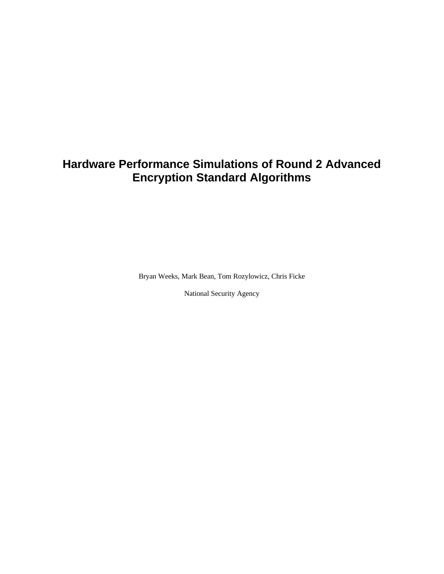# **Hardware Performance Simulations of Round 2 Advanced Encryption Standard Algorithms**

Bryan Weeks, Mark Bean, Tom Rozylowicz, Chris Ficke

National Security Agency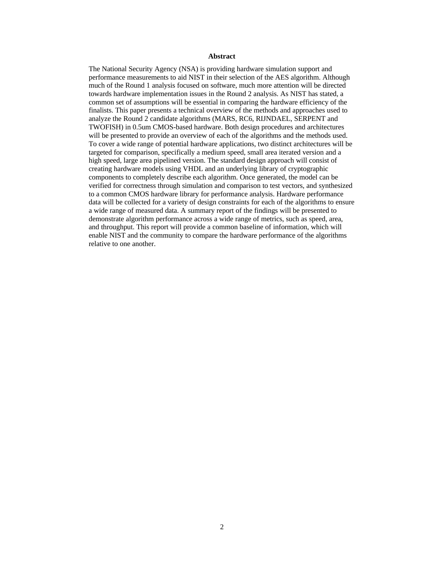#### **Abstract**

The National Security Agency (NSA) is providing hardware simulation support and performance measurements to aid NIST in their selection of the AES algorithm. Although much of the Round 1 analysis focused on software, much more attention will be directed towards hardware implementation issues in the Round 2 analysis. As NIST has stated, a common set of assumptions will be essential in comparing the hardware efficiency of the finalists. This paper presents a technical overview of the methods and approaches used to analyze the Round 2 candidate algorithms (MARS, RC6, RIJNDAEL, SERPENT and TWOFISH) in 0.5um CMOS-based hardware. Both design procedures and architectures will be presented to provide an overview of each of the algorithms and the methods used. To cover a wide range of potential hardware applications, two distinct architectures will be targeted for comparison, specifically a medium speed, small area iterated version and a high speed, large area pipelined version. The standard design approach will consist of creating hardware models using VHDL and an underlying library of cryptographic components to completely describe each algorithm. Once generated, the model can be verified for correctness through simulation and comparison to test vectors, and synthesized to a common CMOS hardware library for performance analysis. Hardware performance data will be collected for a variety of design constraints for each of the algorithms to ensure a wide range of measured data. A summary report of the findings will be presented to demonstrate algorithm performance across a wide range of metrics, such as speed, area, and throughput. This report will provide a common baseline of information, which will enable NIST and the community to compare the hardware performance of the algorithms relative to one another.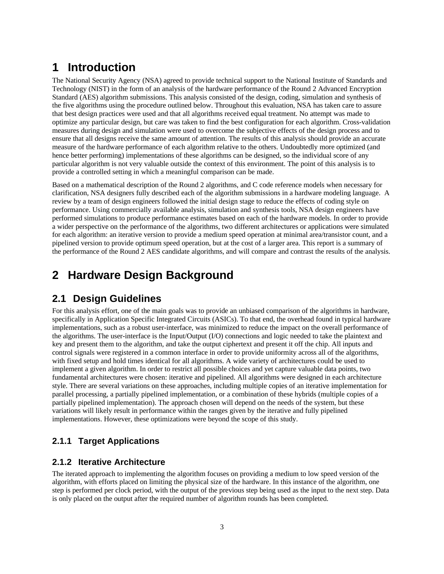# **1 Introduction**

The National Security Agency (NSA) agreed to provide technical support to the National Institute of Standards and Technology (NIST) in the form of an analysis of the hardware performance of the Round 2 Advanced Encryption Standard (AES) algorithm submissions. This analysis consisted of the design, coding, simulation and synthesis of the five algorithms using the procedure outlined below. Throughout this evaluation, NSA has taken care to assure that best design practices were used and that all algorithms received equal treatment. No attempt was made to optimize any particular design, but care was taken to find the best configuration for each algorithm. Cross-validation measures during design and simulation were used to overcome the subjective effects of the design process and to ensure that all designs receive the same amount of attention. The results of this analysis should provide an accurate measure of the hardware performance of each algorithm relative to the others. Undoubtedly more optimized (and hence better performing) implementations of these algorithms can be designed, so the individual score of any particular algorithm is not very valuable outside the context of this environment. The point of this analysis is to provide a controlled setting in which a meaningful comparison can be made.

Based on a mathematical description of the Round 2 algorithms, and C code reference models when necessary for clarification, NSA designers fully described each of the algorithm submissions in a hardware modeling language. A review by a team of design engineers followed the initial design stage to reduce the effects of coding style on performance. Using commercially available analysis, simulation and synthesis tools, NSA design engineers have performed simulations to produce performance estimates based on each of the hardware models. In order to provide a wider perspective on the performance of the algorithms, two different architectures or applications were simulated for each algorithm: an iterative version to provide a medium speed operation at minimal area/transistor count, and a pipelined version to provide optimum speed operation, but at the cost of a larger area. This report is a summary of the performance of the Round 2 AES candidate algorithms, and will compare and contrast the results of the analysis.

# **2 Hardware Design Background**

## **2.1 Design Guidelines**

For this analysis effort, one of the main goals was to provide an unbiased comparison of the algorithms in hardware, specifically in Application Specific Integrated Circuits (ASICs). To that end, the overhead found in typical hardware implementations, such as a robust user-interface, was minimized to reduce the impact on the overall performance of the algorithms. The user-interface is the Input/Output (I/O) connections and logic needed to take the plaintext and key and present them to the algorithm, and take the output ciphertext and present it off the chip. All inputs and control signals were registered in a common interface in order to provide uniformity across all of the algorithms, with fixed setup and hold times identical for all algorithms. A wide variety of architectures could be used to implement a given algorithm. In order to restrict all possible choices and yet capture valuable data points, two fundamental architectures were chosen: iterative and pipelined. All algorithms were designed in each architecture style. There are several variations on these approaches, including multiple copies of an iterative implementation for parallel processing, a partially pipelined implementation, or a combination of these hybrids (multiple copies of a partially pipelined implementation). The approach chosen will depend on the needs of the system, but these variations will likely result in performance within the ranges given by the iterative and fully pipelined implementations. However, these optimizations were beyond the scope of this study.

## **2.1.1 Target Applications**

## **2.1.2 Iterative Architecture**

The iterated approach to implementing the algorithm focuses on providing a medium to low speed version of the algorithm, with efforts placed on limiting the physical size of the hardware. In this instance of the algorithm, one step is performed per clock period, with the output of the previous step being used as the input to the next step. Data is only placed on the output after the required number of algorithm rounds has been completed.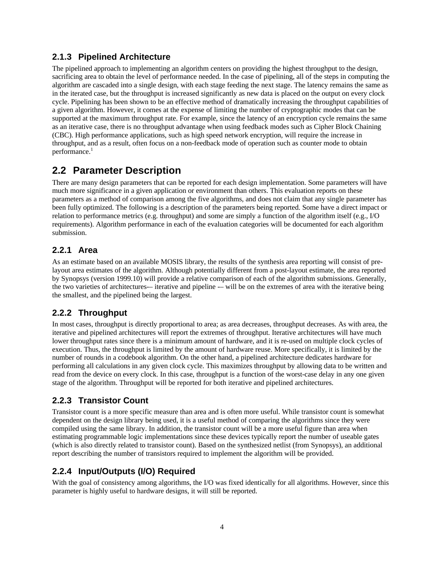## **2.1.3 Pipelined Architecture**

The pipelined approach to implementing an algorithm centers on providing the highest throughput to the design, sacrificing area to obtain the level of performance needed. In the case of pipelining, all of the steps in computing the algorithm are cascaded into a single design, with each stage feeding the next stage. The latency remains the same as in the iterated case, but the throughput is increased significantly as new data is placed on the output on every clock cycle. Pipelining has been shown to be an effective method of dramatically increasing the throughput capabilities of a given algorithm. However, it comes at the expense of limiting the number of cryptographic modes that can be supported at the maximum throughput rate. For example, since the latency of an encryption cycle remains the same as an iterative case, there is no throughput advantage when using feedback modes such as Cipher Block Chaining (CBC). High performance applications, such as high speed network encryption, will require the increase in throughput, and as a result, often focus on a non-feedback mode of operation such as counter mode to obtain performance.<sup>1</sup>

## **2.2 Parameter Description**

There are many design parameters that can be reported for each design implementation. Some parameters will have much more significance in a given application or environment than others. This evaluation reports on these parameters as a method of comparison among the five algorithms, and does not claim that any single parameter has been fully optimized. The following is a description of the parameters being reported. Some have a direct impact or relation to performance metrics (e.g. throughput) and some are simply a function of the algorithm itself (e.g., I/O requirements). Algorithm performance in each of the evaluation categories will be documented for each algorithm submission.

## **2.2.1 Area**

As an estimate based on an available MOSIS library, the results of the synthesis area reporting will consist of prelayout area estimates of the algorithm. Although potentially different from a post-layout estimate, the area reported by Synopsys (version 1999.10) will provide a relative comparison of each of the algorithm submissions. Generally, the two varieties of architectures-– iterative and pipeline -– will be on the extremes of area with the iterative being the smallest, and the pipelined being the largest.

## **2.2.2 Throughput**

In most cases, throughput is directly proportional to area; as area decreases, throughput decreases. As with area, the iterative and pipelined architectures will report the extremes of throughput. Iterative architectures will have much lower throughput rates since there is a minimum amount of hardware, and it is re-used on multiple clock cycles of execution. Thus, the throughput is limited by the amount of hardware reuse. More specifically, it is limited by the number of rounds in a codebook algorithm. On the other hand, a pipelined architecture dedicates hardware for performing all calculations in any given clock cycle. This maximizes throughput by allowing data to be written and read from the device on every clock. In this case, throughput is a function of the worst-case delay in any one given stage of the algorithm. Throughput will be reported for both iterative and pipelined architectures.

## **2.2.3 Transistor Count**

Transistor count is a more specific measure than area and is often more useful. While transistor count is somewhat dependent on the design library being used, it is a useful method of comparing the algorithms since they were compiled using the same library. In addition, the transistor count will be a more useful figure than area when estimating programmable logic implementations since these devices typically report the number of useable gates (which is also directly related to transistor count). Based on the synthesized netlist (from Synopsys), an additional report describing the number of transistors required to implement the algorithm will be provided.

## **2.2.4 Input/Outputs (I/O) Required**

With the goal of consistency among algorithms, the I/O was fixed identically for all algorithms. However, since this parameter is highly useful to hardware designs, it will still be reported.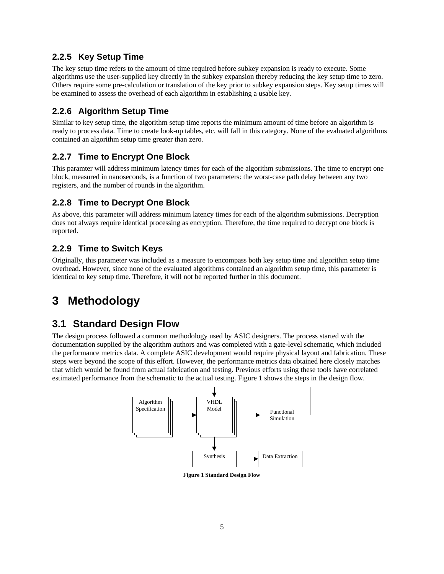## **2.2.5 Key Setup Time**

The key setup time refers to the amount of time required before subkey expansion is ready to execute. Some algorithms use the user-supplied key directly in the subkey expansion thereby reducing the key setup time to zero. Others require some pre-calculation or translation of the key prior to subkey expansion steps. Key setup times will be examined to assess the overhead of each algorithm in establishing a usable key.

## **2.2.6 Algorithm Setup Time**

Similar to key setup time, the algorithm setup time reports the minimum amount of time before an algorithm is ready to process data. Time to create look-up tables, etc. will fall in this category. None of the evaluated algorithms contained an algorithm setup time greater than zero.

## **2.2.7 Time to Encrypt One Block**

This paramter will address minimum latency times for each of the algorithm submissions. The time to encrypt one block, measured in nanoseconds, is a function of two parameters: the worst-case path delay between any two registers, and the number of rounds in the algorithm.

## **2.2.8 Time to Decrypt One Block**

As above, this parameter will address minimum latency times for each of the algorithm submissions. Decryption does not always require identical processing as encryption. Therefore, the time required to decrypt one block is reported.

## **2.2.9 Time to Switch Keys**

Originally, this parameter was included as a measure to encompass both key setup time and algorithm setup time overhead. However, since none of the evaluated algorithms contained an algorithm setup time, this parameter is identical to key setup time. Therefore, it will not be reported further in this document.

# **3 Methodology**

## **3.1 Standard Design Flow**

The design process followed a common methodology used by ASIC designers. The process started with the documentation supplied by the algorithm authors and was completed with a gate-level schematic, which included the performance metrics data. A complete ASIC development would require physical layout and fabrication. These steps were beyond the scope of this effort. However, the performance metrics data obtained here closely matches that which would be found from actual fabrication and testing. Previous efforts using these tools have correlated estimated performance from the schematic to the actual testing. Figure 1 shows the steps in the design flow.



**Figure 1 Standard Design Flow**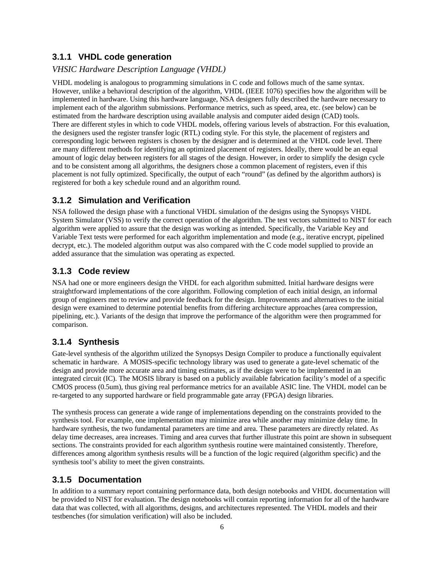## **3.1.1 VHDL code generation**

#### *VHSIC Hardware Description Language (VHDL)*

VHDL modeling is analogous to programming simulations in C code and follows much of the same syntax. However, unlike a behavioral description of the algorithm, VHDL (IEEE 1076) specifies how the algorithm will be implemented in hardware. Using this hardware language, NSA designers fully described the hardware necessary to implement each of the algorithm submissions. Performance metrics, such as speed, area, etc. (see below) can be estimated from the hardware description using available analysis and computer aided design (CAD) tools. There are different styles in which to code VHDL models, offering various levels of abstraction. For this evaluation, the designers used the register transfer logic (RTL) coding style. For this style, the placement of registers and corresponding logic between registers is chosen by the designer and is determined at the VHDL code level. There are many different methods for identifying an optimized placement of registers. Ideally, there would be an equal amount of logic delay between registers for all stages of the design. However, in order to simplify the design cycle and to be consistent among all algorithms, the designers chose a common placement of registers, even if this placement is not fully optimized. Specifically, the output of each "round" (as defined by the algorithm authors) is registered for both a key schedule round and an algorithm round.

### **3.1.2 Simulation and Verification**

NSA followed the design phase with a functional VHDL simulation of the designs using the Synopsys VHDL System Simulator (VSS) to verify the correct operation of the algorithm. The test vectors submitted to NIST for each algorithm were applied to assure that the design was working as intended. Specifically, the Variable Key and Variable Text tests were performed for each algorithm implementation and mode (e.g., iterative encrypt, pipelined decrypt, etc.). The modeled algorithm output was also compared with the C code model supplied to provide an added assurance that the simulation was operating as expected.

### **3.1.3 Code review**

NSA had one or more engineers design the VHDL for each algorithm submitted. Initial hardware designs were straightforward implementations of the core algorithm. Following completion of each initial design, an informal group of engineers met to review and provide feedback for the design. Improvements and alternatives to the initial design were examined to determine potential benefits from differing architecture approaches (area compression, pipelining, etc.). Variants of the design that improve the performance of the algorithm were then programmed for comparison.

### **3.1.4 Synthesis**

Gate-level synthesis of the algorithm utilized the Synopsys Design Compiler to produce a functionally equivalent schematic in hardware. A MOSIS-specific technology library was used to generate a gate-level schematic of the design and provide more accurate area and timing estimates, as if the design were to be implemented in an integrated circuit (IC). The MOSIS library is based on a publicly available fabrication facility's model of a specific CMOS process (0.5um), thus giving real performance metrics for an available ASIC line. The VHDL model can be re-targeted to any supported hardware or field programmable gate array (FPGA) design libraries.

The synthesis process can generate a wide range of implementations depending on the constraints provided to the synthesis tool. For example, one implementation may minimize area while another may minimize delay time. In hardware synthesis, the two fundamental parameters are time and area. These parameters are directly related. As delay time decreases, area increases. Timing and area curves that further illustrate this point are shown in subsequent sections. The constraints provided for each algorithm synthesis routine were maintained consistently. Therefore, differences among algorithm synthesis results will be a function of the logic required (algorithm specific) and the synthesis tool's ability to meet the given constraints.

### **3.1.5 Documentation**

In addition to a summary report containing performance data, both design notebooks and VHDL documentation will be provided to NIST for evaluation. The design notebooks will contain reporting information for all of the hardware data that was collected, with all algorithms, designs, and architectures represented. The VHDL models and their testbenches (for simulation verification) will also be included.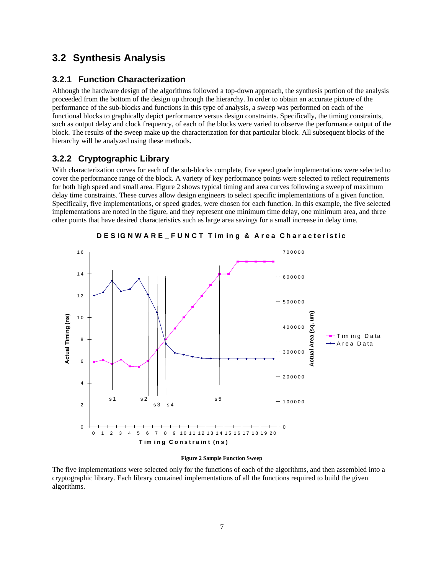## **3.2 Synthesis Analysis**

### **3.2.1 Function Characterization**

Although the hardware design of the algorithms followed a top-down approach, the synthesis portion of the analysis proceeded from the bottom of the design up through the hierarchy. In order to obtain an accurate picture of the performance of the sub-blocks and functions in this type of analysis, a sweep was performed on each of the functional blocks to graphically depict performance versus design constraints. Specifically, the timing constraints, such as output delay and clock frequency, of each of the blocks were varied to observe the performance output of the block. The results of the sweep make up the characterization for that particular block. All subsequent blocks of the hierarchy will be analyzed using these methods.

#### **3.2.2 Cryptographic Library**

With characterization curves for each of the sub-blocks complete, five speed grade implementations were selected to cover the performance range of the block. A variety of key performance points were selected to reflect requirements for both high speed and small area. Figure 2 shows typical timing and area curves following a sweep of maximum delay time constraints. These curves allow design engineers to select specific implementations of a given function. Specifically, five implementations, or speed grades, were chosen for each function. In this example, the five selected implementations are noted in the figure, and they represent one minimum time delay, one minimum area, and three other points that have desired characteristics such as large area savings for a small increase in delay time.



**DES IGNWARE\_FUNCT T im ing & A rea Charac teristic**

#### **Figure 2 Sample Function Sweep**

The five implementations were selected only for the functions of each of the algorithms, and then assembled into a cryptographic library. Each library contained implementations of all the functions required to build the given algorithms.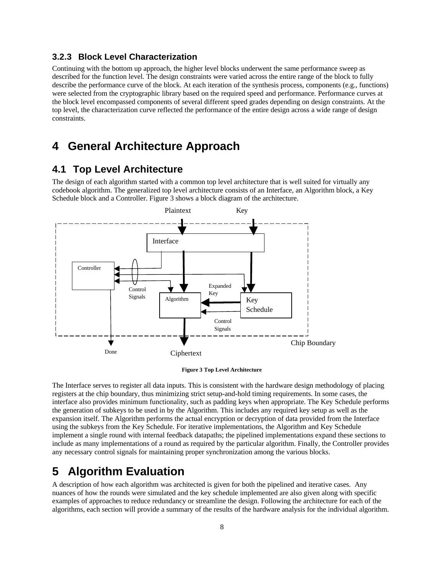#### **3.2.3 Block Level Characterization**

Continuing with the bottom up approach, the higher level blocks underwent the same performance sweep as described for the function level. The design constraints were varied across the entire range of the block to fully describe the performance curve of the block. At each iteration of the synthesis process, components (e.g., functions) were selected from the cryptographic library based on the required speed and performance. Performance curves at the block level encompassed components of several different speed grades depending on design constraints. At the top level, the characterization curve reflected the performance of the entire design across a wide range of design constraints.

## **4 General Architecture Approach**

## **4.1 Top Level Architecture**

The design of each algorithm started with a common top level architecture that is well suited for virtually any codebook algorithm. The generalized top level architecture consists of an Interface, an Algorithm block, a Key Schedule block and a Controller. Figure 3 shows a block diagram of the architecture.



#### **Figure 3 Top Level Architecture**

The Interface serves to register all data inputs. This is consistent with the hardware design methodology of placing registers at the chip boundary, thus minimizing strict setup-and-hold timing requirements. In some cases, the interface also provides minimum functionality, such as padding keys when appropriate. The Key Schedule performs the generation of subkeys to be used in by the Algorithm. This includes any required key setup as well as the expansion itself. The Algorithm performs the actual encryption or decryption of data provided from the Interface using the subkeys from the Key Schedule. For iterative implementations, the Algorithm and Key Schedule implement a single round with internal feedback datapaths; the pipelined implementations expand these sections to include as many implementations of a round as required by the particular algorithm. Finally, the Controller provides any necessary control signals for maintaining proper synchronization among the various blocks.

## **5 Algorithm Evaluation**

A description of how each algorithm was architected is given for both the pipelined and iterative cases. Any nuances of how the rounds were simulated and the key schedule implemented are also given along with specific examples of approaches to reduce redundancy or streamline the design. Following the architecture for each of the algorithms, each section will provide a summary of the results of the hardware analysis for the individual algorithm.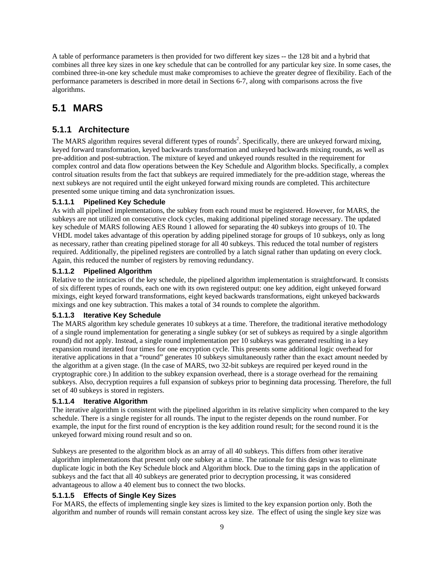A table of performance parameters is then provided for two different key sizes -- the 128 bit and a hybrid that combines all three key sizes in one key schedule that can be controlled for any particular key size. In some cases, the combined three-in-one key schedule must make compromises to achieve the greater degree of flexibility. Each of the performance parameters is described in more detail in Sections 6-7, along with comparisons across the five algorithms.

## **5.1 MARS**

## **5.1.1 Architecture**

The MARS algorithm requires several different types of rounds<sup>2</sup>. Specifically, there are unkeyed forward mixing, keyed forward transformation, keyed backwards transformation and unkeyed backwards mixing rounds, as well as pre-addition and post-subtraction. The mixture of keyed and unkeyed rounds resulted in the requirement for complex control and data flow operations between the Key Schedule and Algorithm blocks. Specifically, a complex control situation results from the fact that subkeys are required immediately for the pre-addition stage, whereas the next subkeys are not required until the eight unkeyed forward mixing rounds are completed. This architecture presented some unique timing and data synchronization issues.

#### **5.1.1.1 Pipelined Key Schedule**

As with all pipelined implementations, the subkey from each round must be registered. However, for MARS, the subkeys are not utilized on consecutive clock cycles, making additional pipelined storage necessary. The updated key schedule of MARS following AES Round 1 allowed for separating the 40 subkeys into groups of 10. The VHDL model takes advantage of this operation by adding pipelined storage for groups of 10 subkeys, only as long as necessary, rather than creating pipelined storage for all 40 subkeys. This reduced the total number of registers required. Additionally, the pipelined registers are controlled by a latch signal rather than updating on every clock. Again, this reduced the number of registers by removing redundancy.

#### **5.1.1.2 Pipelined Algorithm**

Relative to the intricacies of the key schedule, the pipelined algorithm implementation is straightforward. It consists of six different types of rounds, each one with its own registered output: one key addition, eight unkeyed forward mixings, eight keyed forward transformations, eight keyed backwards transformations, eight unkeyed backwards mixings and one key subtraction. This makes a total of 34 rounds to complete the algorithm.

#### **5.1.1.3 Iterative Key Schedule**

The MARS algorithm key schedule generates 10 subkeys at a time. Therefore, the traditional iterative methodology of a single round implementation for generating a single subkey (or set of subkeys as required by a single algorithm round) did not apply. Instead, a single round implementation per 10 subkeys was generated resulting in a key expansion round iterated four times for one encryption cycle. This presents some additional logic overhead for iterative applications in that a "round" generates 10 subkeys simultaneously rather than the exact amount needed by the algorithm at a given stage. (In the case of MARS, two 32-bit subkeys are required per keyed round in the cryptographic core.) In addition to the subkey expansion overhead, there is a storage overhead for the remaining subkeys. Also, decryption requires a full expansion of subkeys prior to beginning data processing. Therefore, the full set of 40 subkeys is stored in registers.

#### **5.1.1.4 Iterative Algorithm**

The iterative algorithm is consistent with the pipelined algorithm in its relative simplicity when compared to the key schedule. There is a single register for all rounds. The input to the register depends on the round number. For example, the input for the first round of encryption is the key addition round result; for the second round it is the unkeyed forward mixing round result and so on.

Subkeys are presented to the algorithm block as an array of all 40 subkeys. This differs from other iterative algorithm implementations that present only one subkey at a time. The rationale for this design was to eliminate duplicate logic in both the Key Schedule block and Algorithm block. Due to the timing gaps in the application of subkeys and the fact that all 40 subkeys are generated prior to decryption processing, it was considered advantageous to allow a 40 element bus to connect the two blocks.

#### **5.1.1.5 Effects of Single Key Sizes**

For MARS, the effects of implementing single key sizes is limited to the key expansion portion only. Both the algorithm and number of rounds will remain constant across key size. The effect of using the single key size was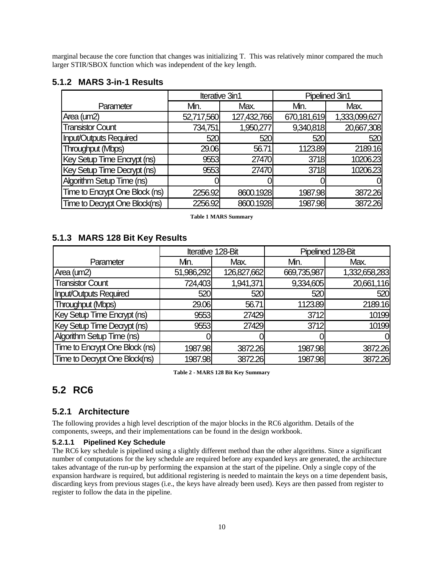marginal because the core function that changes was initializing T. This was relatively minor compared the much larger STIR/SBOX function which was independent of the key length.

#### **5.1.2 MARS 3-in-1 Results**

|                                |            | Iterative 3in1 | Pipelined 3in1 |               |  |
|--------------------------------|------------|----------------|----------------|---------------|--|
| Parameter                      | Mn.        | Max.           | Mn.            | Max.          |  |
| Area (um2)                     | 52,717,560 | 127,432,766    | 670,181,619    | 1,333,099,627 |  |
| <b>Transistor Count</b>        | 734,751    | 1,950,277      | 9,340,818      | 20,667,308    |  |
| <b>Input/Outputs Required</b>  | 520        | 520            | 520            | 520           |  |
| Throughput (Mbps)              | 29.06      | 56.71          | 1123.89        | 2189.16       |  |
| Key Setup Time Encrypt (ns)    | 9553       | 27470          | 3718           | 10206.23      |  |
| Key Setup Time Decrypt (ns)    | 9553       | 27470          | 3718           | 10206.23      |  |
| Algorithm Setup Time (ns)      |            |                |                |               |  |
| Time to Encrypt One Block (ns) | 2256.92    | 8600.1928      | 1987.98        | 3872.26       |  |
| Time to Decrypt One Block(ns)  | 2256.92    | 8600.1928      | 1987.98        | 3872.26       |  |

**Table 1 MARS Summary**

#### **5.1.3 MARS 128 Bit Key Results**

|                                | Iterative 128-Bit |             | Pipelined 128-Bit |               |
|--------------------------------|-------------------|-------------|-------------------|---------------|
| Parameter                      | Mn.               | Max.        | Mn.               | Max.          |
| Area (um2)                     | 51,986,292        | 126,827,662 | 669,735,987       | 1,332,658,283 |
| <b>Transistor Count</b>        | 724,403           | 1,941,371   | 9,334,605         | 20,661,116    |
| <b>Input/Outputs Required</b>  | 520               | 520         | 520               | 520           |
| Throughput (Mbps)              | 29.06             | 56.71       | 1123.89           | 2189.16       |
| Key Setup Time Encrypt (ns)    | 9553              | 27429       | 3712              | 10199         |
| Key Setup Time Decrypt (ns)    | 9553              | 27429       | 3712              | 10199         |
| Algorithm Setup Time (ns)      |                   |             |                   |               |
| Time to Encrypt One Block (ns) | 1987.98           | 3872.26     | 1987.98           | 3872.26       |
| Time to Decrypt One Block(ns)  | 1987.98           | 3872.26     | 1987.98           | 3872.26       |

**Table 2 - MARS 128 Bit Key Summary**

## **5.2 RC6**

### **5.2.1 Architecture**

The following provides a high level description of the major blocks in the RC6 algorithm. Details of the components, sweeps, and their implementations can be found in the design workbook.

#### **5.2.1.1 Pipelined Key Schedule**

The RC6 key schedule is pipelined using a slightly different method than the other algorithms. Since a significant number of computations for the key schedule are required before any expanded keys are generated, the architecture takes advantage of the run-up by performing the expansion at the start of the pipeline. Only a single copy of the expansion hardware is required, but additional registering is needed to maintain the keys on a time dependent basis, discarding keys from previous stages (i.e., the keys have already been used). Keys are then passed from register to register to follow the data in the pipeline.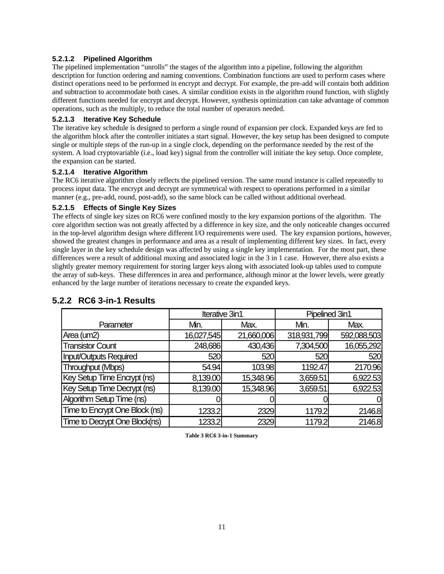#### **5.2.1.2 Pipelined Algorithm**

The pipelined implementation "unrolls" the stages of the algorithm into a pipeline, following the algorithm description for function ordering and naming conventions. Combination functions are used to perform cases where distinct operations need to be performed in encrypt and decrypt. For example, the pre-add will contain both addition and subtraction to accommodate both cases. A similar condition exists in the algorithm round function, with slightly different functions needed for encrypt and decrypt. However, synthesis optimization can take advantage of common operations, such as the multiply, to reduce the total number of operators needed.

#### **5.2.1.3 Iterative Key Schedule**

The iterative key schedule is designed to perform a single round of expansion per clock. Expanded keys are fed to the algorithm block after the controller initiates a start signal. However, the key setup has been designed to compute single or multiple steps of the run-up in a single clock, depending on the performance needed by the rest of the system. A load cryptovariable (i.e., load key) signal from the controller will initiate the key setup. Once complete, the expansion can be started.

#### **5.2.1.4 Iterative Algorithm**

The RC6 iterative algorithm closely reflects the pipelined version. The same round instance is called repeatedly to process input data. The encrypt and decrypt are symmetrical with respect to operations performed in a similar manner (e.g., pre-add, round, post-add), so the same block can be called without additional overhead.

#### **5.2.1.5 Effects of Single Key Sizes**

The effects of single key sizes on RC6 were confined mostly to the key expansion portions of the algorithm. The core algorithm section was not greatly affected by a difference in key size, and the only noticeable changes occurred in the top-level algorithm design where different I/O requirements were used. The key expansion portions, however, showed the greatest changes in performance and area as a result of implementing different key sizes. In fact, every single layer in the key schedule design was affected by using a single key implementation. For the most part, these differences were a result of additional muxing and associated logic in the 3 in 1 case. However, there also exists a slightly greater memory requirement for storing larger keys along with associated look-up tables used to compute the array of sub-keys. These differences in area and performance, although minor at the lower levels, were greatly enhanced by the large number of iterations necessary to create the expanded keys.

|                                |            | Iterative 3in1 | Pipelined 3in1 |             |  |
|--------------------------------|------------|----------------|----------------|-------------|--|
| Parameter                      | Mn.        | Max.           | Min.           | Max.        |  |
| Area (um2)                     | 16,027,545 | 21,660,006     | 318,931,799    | 592,088,503 |  |
| <b>Transistor Count</b>        | 248,686    | 430,436        | 7,304,500      | 16,055,292  |  |
| <b>Input/Outputs Required</b>  | 520        | 520            | 520            | 520         |  |
| Throughput (Mbps)              | 54.94      | 103.98         | 1192.47        | 2170.96     |  |
| Key Setup Time Encrypt (ns)    | 8,139.00   | 15,348.96      | 3,659.51       | 6,922.53    |  |
| Key Setup Time Decrypt (ns)    | 8,139.00   | 15,348.96      | 3,659.51       | 6,922.53    |  |
| Algorithm Setup Time (ns)      |            |                |                |             |  |
| Time to Encrypt One Block (ns) | 1233.2     | 2329           | 1179.2         | 2146.8      |  |
| Time to Decrypt One Block(ns)  | 1233.2     | 2329           | 1179.2         | 2146.8      |  |

## **5.2.2 RC6 3-in-1 Results**

**Table 3 RC6 3-in-1 Summary**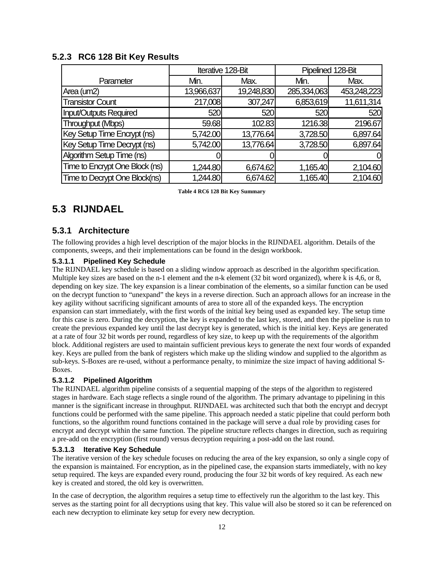|                                |            | Iterative 128-Bit | Pipelined 128-Bit |             |  |
|--------------------------------|------------|-------------------|-------------------|-------------|--|
| Parameter                      | Min.       | Max.              | Min.              | Max.        |  |
| Area (um2)                     | 13,966,637 | 19,248,830        | 285,334,063       | 453,248,223 |  |
| <b>Transistor Count</b>        | 217,008    | 307,247           | 6,853,619         | 11,611,314  |  |
| <b>Input/Outputs Required</b>  | 520        | 520               | 520               | 520         |  |
| Throughput (Mbps)              | 59.68      | 102.83            | 1216.38           | 2196.67     |  |
| Key Setup Time Encrypt (ns)    | 5,742.00   | 13,776.64         | 3,728.50          | 6,897.64    |  |
| Key Setup Time Decrypt (ns)    | 5,742.00   | 13,776.64         | 3,728.50          | 6,897.64    |  |
| Algorithm Setup Time (ns)      |            |                   |                   | 0           |  |
| Time to Encrypt One Block (ns) | 1,244.80   | 6,674.62          | 1,165.40          | 2,104.60    |  |
| Time to Decrypt One Block(ns)  | 1,244.80   | 6,674.62          | 1,165.40          | 2,104.60    |  |

#### **5.2.3 RC6 128 Bit Key Results**

**Table 4 RC6 128 Bit Key Summary**

## **5.3 RIJNDAEL**

#### **5.3.1 Architecture**

The following provides a high level description of the major blocks in the RIJNDAEL algorithm. Details of the components, sweeps, and their implementations can be found in the design workbook.

#### **5.3.1.1 Pipelined Key Schedule**

The RIJNDAEL key schedule is based on a sliding window approach as described in the algorithm specification. Multiple key sizes are based on the n-1 element and the n-k element (32 bit word organized), where k is 4,6, or 8, depending on key size. The key expansion is a linear combination of the elements, so a similar function can be used on the decrypt function to "unexpand" the keys in a reverse direction. Such an approach allows for an increase in the key agility without sacrificing significant amounts of area to store all of the expanded keys. The encryption expansion can start immediately, with the first words of the initial key being used as expanded key. The setup time for this case is zero. During the decryption, the key is expanded to the last key, stored, and then the pipeline is run to create the previous expanded key until the last decrypt key is generated, which is the initial key. Keys are generated at a rate of four 32 bit words per round, regardless of key size, to keep up with the requirements of the algorithm block. Additional registers are used to maintain sufficient previous keys to generate the next four words of expanded key. Keys are pulled from the bank of registers which make up the sliding window and supplied to the algorithm as sub-keys. S-Boxes are re-used, without a performance penalty, to minimize the size impact of having additional S-Boxes.

#### **5.3.1.2 Pipelined Algorithm**

The RIJNDAEL algorithm pipeline consists of a sequential mapping of the steps of the algorithm to registered stages in hardware. Each stage reflects a single round of the algorithm. The primary advantage to pipelining in this manner is the significant increase in throughput. RIJNDAEL was architected such that both the encrypt and decrypt functions could be performed with the same pipeline. This approach needed a static pipeline that could perform both functions, so the algorithm round functions contained in the package will serve a dual role by providing cases for encrypt and decrypt within the same function. The pipeline structure reflects changes in direction, such as requiring a pre-add on the encryption (first round) versus decryption requiring a post-add on the last round.

#### **5.3.1.3 Iterative Key Schedule**

The iterative version of the key schedule focuses on reducing the area of the key expansion, so only a single copy of the expansion is maintained. For encryption, as in the pipelined case, the expansion starts immediately, with no key setup required. The keys are expanded every round, producing the four 32 bit words of key required. As each new key is created and stored, the old key is overwritten.

In the case of decryption, the algorithm requires a setup time to effectively run the algorithm to the last key. This serves as the starting point for all decryptions using that key. This value will also be stored so it can be referenced on each new decryption to eliminate key setup for every new decryption.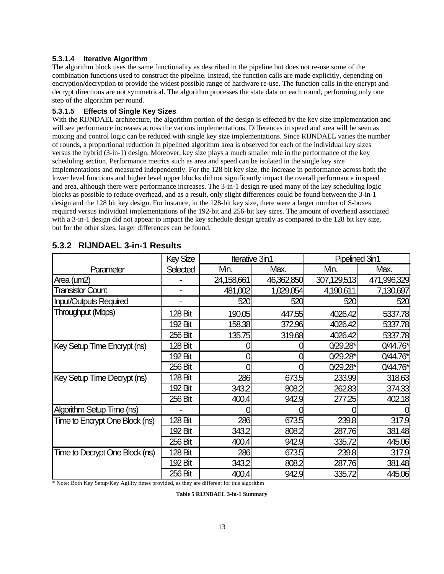#### **5.3.1.4 Iterative Algorithm**

The algorithm block uses the same functionality as described in the pipeline but does not re-use some of the combination functions used to construct the pipeline. Instead, the function calls are made explicitly, depending on encryption/decryption to provide the widest possible range of hardware re-use. The function calls in the encrypt and decrypt directions are not symmetrical. The algorithm processes the state data on each round, performing only one step of the algorithm per round.

#### **5.3.1.5 Effects of Single Key Sizes**

With the RIJNDAEL architecture, the algorithm portion of the design is effected by the key size implementation and will see performance increases across the various implementations. Differences in speed and area will be seen as muxing and control logic can be reduced with single key size implementations. Since RIJNDAEL varies the number of rounds, a proportional reduction in pipelined algorithm area is observed for each of the individual key sizes versus the hybrid (3-in-1) design. Moreover, key size plays a much smaller role in the performance of the key scheduling section. Performance metrics such as area and speed can be isolated in the single key size implementations and measured independently. For the 128 bit key size, the increase in performance across both the lower level functions and higher level upper blocks did not significantly impact the overall performance in speed and area, although there were performance increases. The 3-in-1 design re-used many of the key scheduling logic blocks as possible to reduce overhead, and as a result, only slight differences could be found between the 3-in-1 design and the 128 bit key design. For instance, in the 128-bit key size, there were a larger number of S-boxes required versus individual implementations of the 192-bit and 256-bit key sizes. The amount of overhead associated with a 3-in-1 design did not appear to impact the key schedule design greatly as compared to the 128 bit key size, but for the other sizes, larger differences can be found.

|                                | <b>Key Size</b>          | Iterative 3in1 |            | Pipelined 3in1 |             |
|--------------------------------|--------------------------|----------------|------------|----------------|-------------|
| Parameter                      | Selected                 | Mn.            | Max.       | Mn.            | Max.        |
| Area (um2)                     |                          | 24,158,661     | 46,362,850 | 307,129,513    | 471,996,329 |
| <b>Transistor Count</b>        |                          | 481,002        | 1,029,054  | 4,190,611      | 7,130,697   |
| <b>Input/Outputs Required</b>  | $\overline{\phantom{0}}$ | 520            | 520        | 520            | 520         |
| Throughput (Mbps)              | 128 Bit                  | 190.05         | 447.55     | 4026.42        | 5337.78     |
|                                | 192 Bit                  | 158.38         | 372.96     | 4026.42        | 5337.78     |
|                                | 256 Bit                  | 135.75         | 319.68     | 4026.42        | 5337.78     |
| Key Setup Time Encrypt (ns)    | 128 Bit                  |                |            | $0/29.28*$     | 0/44.76*    |
|                                | 192 Bit                  |                |            | $0/29.28*$     | $0/44.76*$  |
|                                | 256 Bit                  | ი              | 0          | $0/29.28*$     | $0/44.76*$  |
| Key Setup Time Decrypt (ns)    | 128 Bit                  | 286            | 673.5      | 233.99         | 318.63      |
|                                | 192 Bit                  | 343.2          | 808.2      | 262.83         | 374.33      |
|                                | 256 Bit                  | 400.4          | 942.9      | 277.25         | 402.18      |
| Algorithm Setup Time (ns)      |                          |                |            |                |             |
| Time to Encrypt One Block (ns) | 128 Bit                  | 286            | 673.5      | 239.8          | 317.9       |
|                                | 192 Bit                  | 343.2          | 808.2      | 287.76         | 381.48      |
|                                | 256 Bit                  | 400.4          | 942.9      | 335.72         | 445.06      |
| Time to Decrypt One Block (ns) | 128 Bit                  | <b>286</b>     | 673.5      | 239.8          | 317.9       |
|                                | 192 Bit                  | 343.2          | 808.2      | 287.76         | 381.48      |
|                                | 256 Bit                  | 400.4          | 942.9      | 335.72         | 445.06      |

#### **5.3.2 RIJNDAEL 3-in-1 Results**

\* Note: Both Key Setup/Key Agility times provided, as they are different for this algorithm

**Table 5 RIJNDAEL 3-in-1 Summary**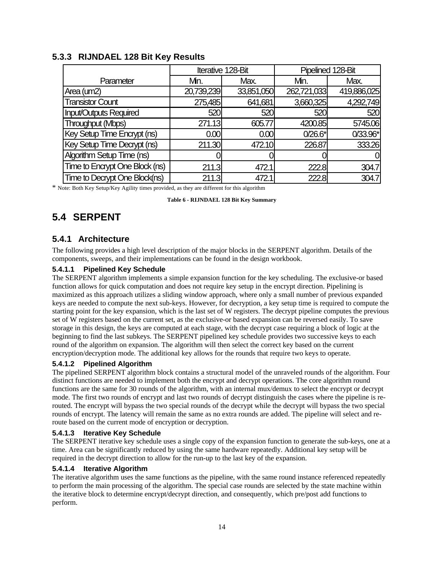|                                |            | Iterative 128-Bit | Pipelined 128-Bit |             |  |
|--------------------------------|------------|-------------------|-------------------|-------------|--|
| Parameter                      | Mn.        | Max.              | Mn.               | Max.        |  |
| Area (um2)                     | 20,739,239 | 33,851,050        | 262,721,033       | 419,886,025 |  |
| <b>Transistor Count</b>        | 275,485    | 641,681           | 3,660,325         | 4,292,749   |  |
| <b>Input/Outputs Required</b>  | 520        | 520               | 520               | 520         |  |
| Throughput (Mbps)              | 271.13     | 605.77            | 4200.85           | 5745.06     |  |
| Key Setup Time Encrypt (ns)    | 0.00       | 0.00              | $0/26.6*$         | 0/33.96*    |  |
| Key Setup Time Decrypt (ns)    | 211.30     | 472.10            | 226.87            | 333.26      |  |
| Algorithm Setup Time (ns)      |            |                   |                   | 0           |  |
| Time to Encrypt One Block (ns) | 211.3      | 472.1             | 222.8             | 304.7       |  |
| Time to Decrypt One Block(ns)  | 211.3      | 472.1             | 222.8             | 304.7       |  |

#### **5.3.3 RIJNDAEL 128 Bit Key Results**

\* Note: Both Key Setup/Key Agility times provided, as they are different for this algorithm

**Table 6 - RIJNDAEL 128 Bit Key Summary**

## **5.4 SERPENT**

### **5.4.1 Architecture**

The following provides a high level description of the major blocks in the SERPENT algorithm. Details of the components, sweeps, and their implementations can be found in the design workbook.

#### **5.4.1.1 Pipelined Key Schedule**

The SERPENT algorithm implements a simple expansion function for the key scheduling. The exclusive-or based function allows for quick computation and does not require key setup in the encrypt direction. Pipelining is maximized as this approach utilizes a sliding window approach, where only a small number of previous expanded keys are needed to compute the next sub-keys. However, for decryption, a key setup time is required to compute the starting point for the key expansion, which is the last set of W registers. The decrypt pipeline computes the previous set of W registers based on the current set, as the exclusive-or based expansion can be reversed easily. To save storage in this design, the keys are computed at each stage, with the decrypt case requiring a block of logic at the beginning to find the last subkeys. The SERPENT pipelined key schedule provides two successive keys to each round of the algorithm on expansion. The algorithm will then select the correct key based on the current encryption/decryption mode. The additional key allows for the rounds that require two keys to operate.

#### **5.4.1.2 Pipelined Algorithm**

The pipelined SERPENT algorithm block contains a structural model of the unraveled rounds of the algorithm. Four distinct functions are needed to implement both the encrypt and decrypt operations. The core algorithm round functions are the same for 30 rounds of the algorithm, with an internal mux/demux to select the encrypt or decrypt mode. The first two rounds of encrypt and last two rounds of decrypt distinguish the cases where the pipeline is rerouted. The encrypt will bypass the two special rounds of the decrypt while the decrypt will bypass the two special rounds of encrypt. The latency will remain the same as no extra rounds are added. The pipeline will select and reroute based on the current mode of encryption or decryption.

#### **5.4.1.3 Iterative Key Schedule**

The SERPENT iterative key schedule uses a single copy of the expansion function to generate the sub-keys, one at a time. Area can be significantly reduced by using the same hardware repeatedly. Additional key setup will be required in the decrypt direction to allow for the run-up to the last key of the expansion.

#### **5.4.1.4 Iterative Algorithm**

The iterative algorithm uses the same functions as the pipeline, with the same round instance referenced repeatedly to perform the main processing of the algorithm. The special case rounds are selected by the state machine within the iterative block to determine encrypt/decrypt direction, and consequently, which pre/post add functions to perform.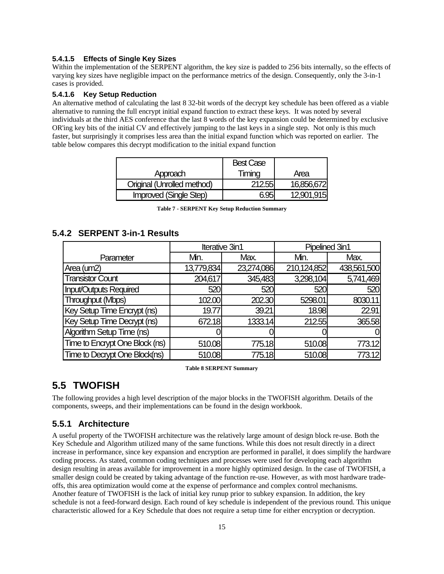#### **5.4.1.5 Effects of Single Key Sizes**

Within the implementation of the SERPENT algorithm, the key size is padded to 256 bits internally, so the effects of varying key sizes have negligible impact on the performance metrics of the design. Consequently, only the 3-in-1 cases is provided.

#### **5.4.1.6 Key Setup Reduction**

An alternative method of calculating the last 8 32-bit words of the decrypt key schedule has been offered as a viable alternative to running the full encrypt initial expand function to extract these keys. It was noted by several individuals at the third AES conference that the last 8 words of the key expansion could be determined by exclusive OR'ing key bits of the initial CV and effectively jumping to the last keys in a single step. Not only is this much faster, but surprisingly it comprises less area than the initial expand function which was reported on earlier. The table below compares this decrypt modification to the initial expand function

|                               | <b>Best Case</b> |            |
|-------------------------------|------------------|------------|
| Approach                      | Timing           | Area       |
| Original (Unrolled method)    | 212.55           | 16,856,672 |
| <b>Improved (Single Step)</b> | 695              | 12,901,915 |

|  | Table 7 - SERPENT Key Setup Reduction Summary |  |  |  |
|--|-----------------------------------------------|--|--|--|
|--|-----------------------------------------------|--|--|--|

### **5.4.2 SERPENT 3-in-1 Results**

|                                |            | Iterative 3in1 | Pipelined 3in1 |             |  |
|--------------------------------|------------|----------------|----------------|-------------|--|
| Parameter                      | Mn.        | Max.           | Mn.            | Max.        |  |
| Area (um2)                     | 13,779,834 | 23,274,086     | 210,124,852    | 438,561,500 |  |
| <b>Transistor Count</b>        | 204,617    | 345,483        | 3,298,104      | 5,741,469   |  |
| <b>Input/Outputs Required</b>  | 520        | 520            | 520            | 520         |  |
| Throughput (Mbps)              | 102.00     | 202.30         | 5298.01        | 8030.11     |  |
| Key Setup Time Encrypt (ns)    | 19.77      | 39.21          | 18.98          | 22.91       |  |
| Key Setup Time Decrypt (ns)    | 672.18     | 1333.14        | 212.55         | 365.58      |  |
| Algorithm Setup Time (ns)      |            |                |                | 0I          |  |
| Time to Encrypt One Block (ns) | 510.08     | 775.18         | 510.08         | 773.12      |  |
| Time to Decrypt One Block(ns)  | 510.08     | 775.18         | 510.08         | 773.12      |  |

**Table 8 SERPENT Summary**

## **5.5 TWOFISH**

The following provides a high level description of the major blocks in the TWOFISH algorithm. Details of the components, sweeps, and their implementations can be found in the design workbook.

#### **5.5.1 Architecture**

A useful property of the TWOFISH architecture was the relatively large amount of design block re-use. Both the Key Schedule and Algorithm utilized many of the same functions. While this does not result directly in a direct increase in performance, since key expansion and encryption are performed in parallel, it does simplify the hardware coding process. As stated, common coding techniques and processes were used for developing each algorithm design resulting in areas available for improvement in a more highly optimized design. In the case of TWOFISH, a smaller design could be created by taking advantage of the function re-use. However, as with most hardware tradeoffs, this area optimization would come at the expense of performance and complex control mechanisms. Another feature of TWOFISH is the lack of initial key runup prior to subkey expansion. In addition, the key schedule is not a feed-forward design. Each round of key schedule is independent of the previous round. This unique characteristic allowed for a Key Schedule that does not require a setup time for either encryption or decryption.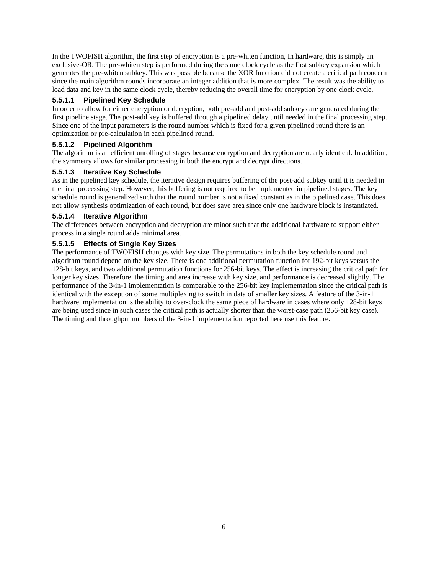In the TWOFISH algorithm, the first step of encryption is a pre-whiten function, In hardware, this is simply an exclusive-OR. The pre-whiten step is performed during the same clock cycle as the first subkey expansion which generates the pre-whiten subkey. This was possible because the XOR function did not create a critical path concern since the main algorithm rounds incorporate an integer addition that is more complex. The result was the ability to load data and key in the same clock cycle, thereby reducing the overall time for encryption by one clock cycle.

#### **5.5.1.1 Pipelined Key Schedule**

In order to allow for either encryption or decryption, both pre-add and post-add subkeys are generated during the first pipeline stage. The post-add key is buffered through a pipelined delay until needed in the final processing step. Since one of the input parameters is the round number which is fixed for a given pipelined round there is an optimization or pre-calculation in each pipelined round.

#### **5.5.1.2 Pipelined Algorithm**

The algorithm is an efficient unrolling of stages because encryption and decryption are nearly identical. In addition, the symmetry allows for similar processing in both the encrypt and decrypt directions.

#### **5.5.1.3 Iterative Key Schedule**

As in the pipelined key schedule, the iterative design requires buffering of the post-add subkey until it is needed in the final processing step. However, this buffering is not required to be implemented in pipelined stages. The key schedule round is generalized such that the round number is not a fixed constant as in the pipelined case. This does not allow synthesis optimization of each round, but does save area since only one hardware block is instantiated.

#### **5.5.1.4 Iterative Algorithm**

The differences between encryption and decryption are minor such that the additional hardware to support either process in a single round adds minimal area.

#### **5.5.1.5 Effects of Single Key Sizes**

The performance of TWOFISH changes with key size. The permutations in both the key schedule round and algorithm round depend on the key size. There is one additional permutation function for 192-bit keys versus the 128-bit keys, and two additional permutation functions for 256-bit keys. The effect is increasing the critical path for longer key sizes. Therefore, the timing and area increase with key size, and performance is decreased slightly. The performance of the 3-in-1 implementation is comparable to the 256-bit key implementation since the critical path is identical with the exception of some multiplexing to switch in data of smaller key sizes. A feature of the 3-in-1 hardware implementation is the ability to over-clock the same piece of hardware in cases where only 128-bit keys are being used since in such cases the critical path is actually shorter than the worst-case path (256-bit key case). The timing and throughput numbers of the 3-in-1 implementation reported here use this feature.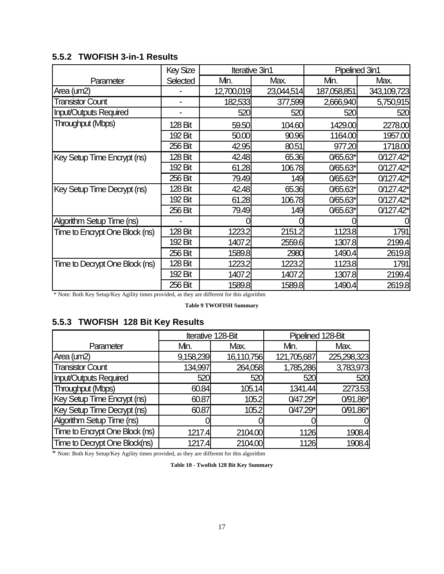## **5.5.2 TWOFISH 3-in-1 Results**

|                                | <b>Key Size</b> | Iterative 3in1 |            | Pipelined 3in1 |             |
|--------------------------------|-----------------|----------------|------------|----------------|-------------|
| Parameter                      | Selected        | Mn.            | Max.       | Mn.            | Max.        |
| Area (um2)                     |                 | 12,700,019     | 23,044,514 | 187,058,851    | 343,109,723 |
| <b>Transistor Count</b>        |                 | 182,533        | 377,599    | 2,666,940      | 5,750,915   |
| <b>Input/Outputs Required</b>  |                 | 520            | 520        | 520            | 520         |
| Throughput (Mbps)              | 128 Bit         | 59.50          | 104.60     | 1429.00        | 2278.00     |
|                                | 192 Bit         | 50.00          | 90.96      | 1164.00        | 1957.00     |
|                                | 256 Bit         | 42.95          | 80.51      | 977.20         | 1718.00     |
| Key Setup Time Encrypt (ns)    | 128 Bit         | 42.48          | 65.36      | 0/65.63*       | $0/127.42*$ |
|                                | 192 Bit         | 61.28          | 106.78     | 0/65.63*       | 0/127.42*   |
|                                | 256 Bit         | 79.49          | 149        | 0/65.63*       | $0/127.42*$ |
| Key Setup Time Decrypt (ns)    | 128 Bit         | 42.48          | 65.36      | 0/65.63*       | $0/127.42*$ |
|                                | 192 Bit         | 61.28          | 106.78     | 0/65.63*       | $0/127.42*$ |
|                                | 256 Bit         | 79.49          | 149        | 0/65.63*       | 0/127.42*   |
| Algorithm Setup Time (ns)      |                 |                |            |                |             |
| Time to Encrypt One Block (ns) | 128 Bit         | 1223.2         | 2151.2     | 1123.8         | 1791        |
|                                | 192 Bit         | 1407.2         | 2559.6     | 1307.8         | 2199.4      |
|                                | 256 Bit         | 1589.8         | 2980       | 1490.4         | 2619.8      |
| Time to Decrypt One Block (ns) | 128 Bit         | 1223.2         | 1223.2     | 1123.8         | 1791        |
|                                | 192 Bit         | 1407.2         | 1407.2     | 1307.8         | 2199.4      |
|                                | 256 Bit         | 1589.8         | 1589.8     | 1490.4         | 2619.8      |

\* Note: Both Key Setup/Key Agility times provided, as they are different for this algorithm

**Table 9 TWOFISH Summary**

## **5.5.3 TWOFISH 128 Bit Key Results**

|                                |           | Iterative 128-Bit | Pipelined 128-Bit |             |  |
|--------------------------------|-----------|-------------------|-------------------|-------------|--|
| Parameter                      | Mn.       | Max.              | Mn.               | Max.        |  |
| Area (um2)                     | 9,158,239 | 16,110,756        | 121,705,687       | 225,298,323 |  |
| <b>Transistor Count</b>        | 134,997   | 264,058           | 1,785,286         | 3,783,973   |  |
| Input/Outputs Required         | 520       | 520               | 520               | 520         |  |
| Throughput (Mbps)              | 60.84     | 105.14            | 1341.44           | 2273.53     |  |
| Key Setup Time Encrypt (ns)    | 60.87     | 105.2             | $0/47.29*$        | 0/91.86*    |  |
| Key Setup Time Decrypt (ns)    | 60.87     | 105.2             | 0/47.29*          | 0/91.86*    |  |
| Algorithm Setup Time (ns)      |           |                   |                   |             |  |
| Time to Encrypt One Block (ns) | 1217.4    | 2104.00           | 1126              | 1908.4      |  |
| Time to Decrypt One Block(ns)  | 1217.4    | 2104.00           | 1126              | 1908.4      |  |

\* Note: Both Key Setup/Key Agility times provided, as they are different for this algorithm

**Table 10 - Twofish 128 Bit Key Summary**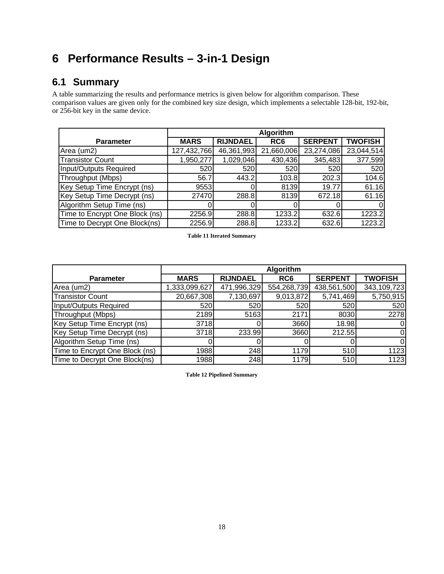# **6 Performance Results – 3-in-1 Design**

## **6.1 Summary**

A table summarizing the results and performance metrics is given below for algorithm comparison. These comparison values are given only for the combined key size design, which implements a selectable 128-bit, 192-bit, or 256-bit key in the same device.

|                                | Algorithm   |                 |                 |                |                |
|--------------------------------|-------------|-----------------|-----------------|----------------|----------------|
| <b>Parameter</b>               | <b>MARS</b> | <b>RIJNDAEL</b> | RC <sub>6</sub> | <b>SERPENT</b> | <b>TWOFISH</b> |
| Area (um2)                     | 127,432,766 | 46,361,993      | 21,660,006      | 23,274,086     | 23,044,514     |
| <b>Transistor Count</b>        | 1,950,277   | 1,029,046       | 430,436         | 345,483        | 377,599        |
| Input/Outputs Required         | 520         | 520             | 520             | 520            | 520            |
| Throughput (Mbps)              | 56.7        | 443.2           | 103.8           | 202.3          | 104.6          |
| Key Setup Time Encrypt (ns)    | 9553        |                 | 8139            | 19.77          | 61.16          |
| Key Setup Time Decrypt (ns)    | 27470       | 288.8           | 8139            | 672.18         | 61.16          |
| Algorithm Setup Time (ns)      |             |                 |                 |                | 0              |
| Time to Encrypt One Block (ns) | 2256.9      | 288.8           | 1233.2          | 632.6          | 1223.2         |
| Time to Decrypt One Block(ns)  | 2256.9      | 288.8           | 1233.2          | 632.6          | 1223.2         |

**Table 11 Iterated Summary**

|                                | Algorithm     |                 |             |                |                |  |
|--------------------------------|---------------|-----------------|-------------|----------------|----------------|--|
| <b>Parameter</b>               | <b>MARS</b>   | <b>RIJNDAEL</b> | RC6         | <b>SERPENT</b> | <b>TWOFISH</b> |  |
| Area (um2)                     | 1,333,099,627 | 471,996,329     | 554,268,739 | 438,561,500    | 343,109,723    |  |
| <b>Transistor Count</b>        | 20,667,308    | 7,130,697       | 9,013,872   | 5,741,469      | 5,750,915      |  |
| Input/Outputs Required         | 520           | 520             | 520         | 520            | 520            |  |
| Throughput (Mbps)              | 2189          | 5163            | 2171        | 8030           | 2278           |  |
| Key Setup Time Encrypt (ns)    | 3718          |                 | 3660        | 18.98          | 0              |  |
| Key Setup Time Decrypt (ns)    | 3718          | 233.99          | 3660        | 212.55         | 0              |  |
| Algorithm Setup Time (ns)      |               |                 |             |                | 0              |  |
| Time to Encrypt One Block (ns) | 1988          | 248             | 1179        | 510            | 1123           |  |
| Time to Decrypt One Block(ns)  | 1988          | 248             | 1179        | 510            | 1123           |  |

**Table 12 Pipelined Summary**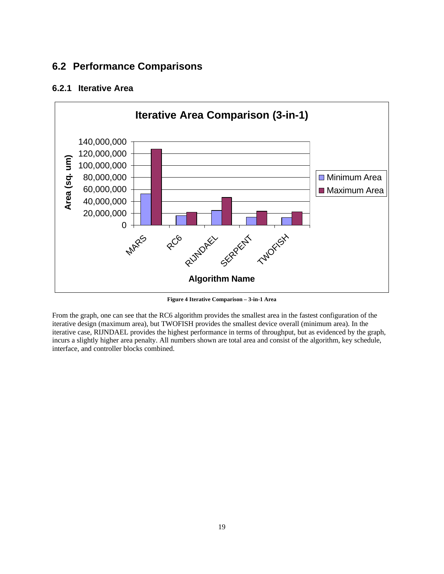## **6.2 Performance Comparisons**

## **6.2.1 Iterative Area**



**Figure 4 Iterative Comparison – 3-in-1 Area**

From the graph, one can see that the RC6 algorithm provides the smallest area in the fastest configuration of the iterative design (maximum area), but TWOFISH provides the smallest device overall (minimum area). In the iterative case, RIJNDAEL provides the highest performance in terms of throughput, but as evidenced by the graph, incurs a slightly higher area penalty. All numbers shown are total area and consist of the algorithm, key schedule, interface, and controller blocks combined.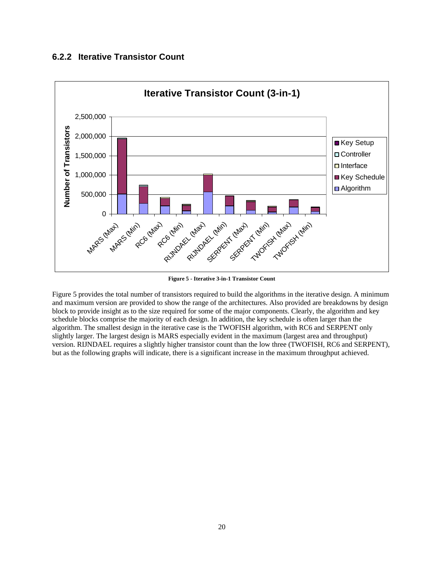### **6.2.2 Iterative Transistor Count**



**Figure 5 - Iterative 3-in-1 Transistor Count**

Figure 5 provides the total number of transistors required to build the algorithms in the iterative design. A minimum and maximum version are provided to show the range of the architectures. Also provided are breakdowns by design block to provide insight as to the size required for some of the major components. Clearly, the algorithm and key schedule blocks comprise the majority of each design. In addition, the key schedule is often larger than the algorithm. The smallest design in the iterative case is the TWOFISH algorithm, with RC6 and SERPENT only slightly larger. The largest design is MARS especially evident in the maximum (largest area and throughput) version. RIJNDAEL requires a slightly higher transistor count than the low three (TWOFISH, RC6 and SERPENT), but as the following graphs will indicate, there is a significant increase in the maximum throughput achieved.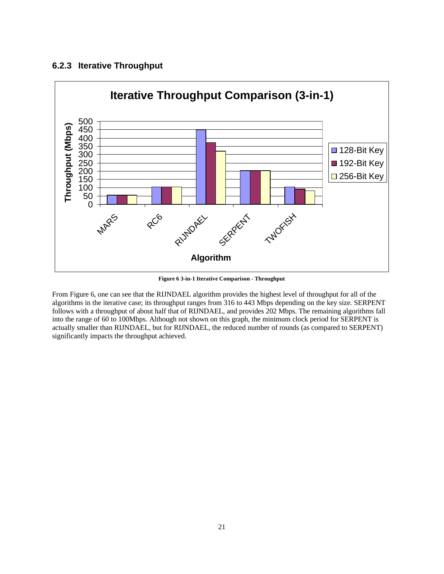#### **6.2.3 Iterative Throughput**

![](_page_20_Figure_1.jpeg)

**Figure 6 3-in-1 Iterative Comparison - Throughput**

From Figure 6, one can see that the RIJNDAEL algorithm provides the highest level of throughput for all of the algorithms in the iterative case; its throughput ranges from 316 to 443 Mbps depending on the key size. SERPENT follows with a throughput of about half that of RIJNDAEL, and provides 202 Mbps. The remaining algorithms fall into the range of 60 to 100Mbps. Although not shown on this graph, the minimum clock period for SERPENT is actually smaller than RIJNDAEL, but for RIJNDAEL, the reduced number of rounds (as compared to SERPENT) significantly impacts the throughput achieved.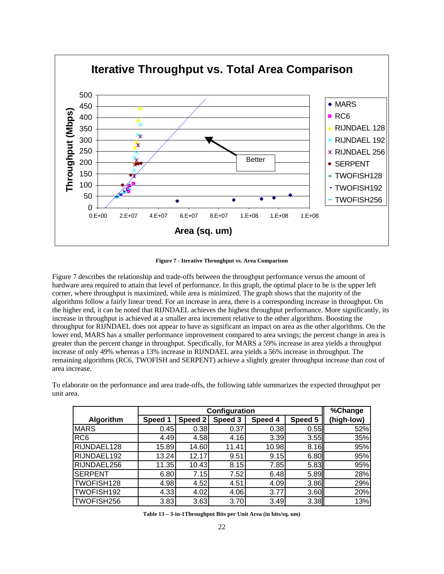![](_page_21_Figure_0.jpeg)

**Figure 7 - Iterative Throughput vs. Area Comparison**

Figure 7 describes the relationship and trade-offs between the throughput performance versus the amount of hardware area required to attain that level of performance. In this graph, the optimal place to be is the upper left corner, where throughput is maximized, while area is minimized. The graph shows that the majority of the algorithms follow a fairly linear trend. For an increase in area, there is a corresponding increase in throughput. On the higher end, it can be noted that RIJNDAEL achieves the highest throughput performance. More significantly, its increase in throughput is achieved at a smaller area increment relative to the other algorithms. Boosting the throughput for RIJNDAEL does not appear to have as significant an impact on area as the other algorithms. On the lower end, MARS has a smaller performance improvement compared to area savings; the percent change in area is greater than the percent change in throughput. Specifically, for MARS a 59% increase in area yields a throughput increase of only 49% whereas a 13% increase in RIJNDAEL area yields a 56% increase in throughput. The remaining algorithms (RC6, TWOFISH and SERPENT) achieve a slightly greater throughput increase than cost of area increase.

To elaborate on the performance and area trade-offs, the following table summarizes the expected throughput per unit area.

|                 | Configuration |         |         |         |         | $\sqrt[6]{\text{Change}}$ |
|-----------------|---------------|---------|---------|---------|---------|---------------------------|
| Algorithm       | Speed 1       | Speed 2 | Speed 3 | Speed 4 | Speed 5 | (high-low)                |
| <b>MARS</b>     | 0.45          | 0.38    | 0.37    | 0.38    | 0.55    | 52%                       |
| RC <sub>6</sub> | 4.49          | 4.58    | 4.16    | 3.39    | 3.55    | 35%                       |
| RIJNDAEL128     | 15.89         | 14.60   | 11.41   | 10.98   | 8.16    | 95%                       |
| RIJNDAEL192     | 13.24         | 12.17   | 9.51    | 9.15    | 6.80    | 95%                       |
| RIJNDAEL256     | 11.35         | 10.43   | 8.15    | 7.85    | 5.83    | 95%                       |
| <b>SERPENT</b>  | 6.80          | 7.15    | 7.52    | 6.48    | 5.89    | 28%                       |
| TWOFISH128      | 4.98          | 4.52    | 4.51    | 4.09    | 3.86    | 29%                       |
| TWOFISH192      | 4.33          | 4.02    | 4.06    | 3.77    | 3.60    | 20%                       |
| TWOFISH256      | 3.83          | 3.63    | 3.70    | 3.49    | 3.38    | 13%                       |

**Table 13 – 3-in-1Throughput Bits per Unit Area (in bits/sq. um)**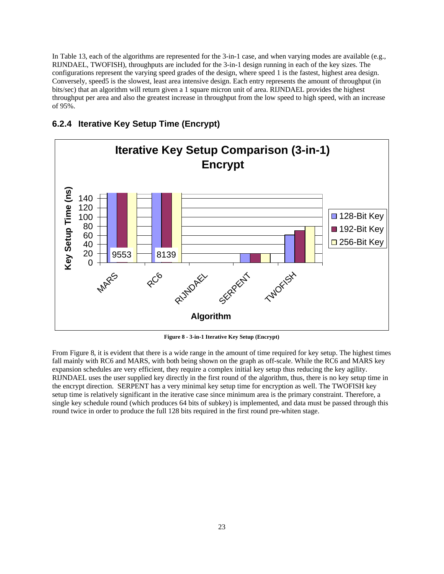In Table 13, each of the algorithms are represented for the 3-in-1 case, and when varying modes are available (e.g., RIJNDAEL, TWOFISH), throughputs are included for the 3-in-1 design running in each of the key sizes. The configurations represent the varying speed grades of the design, where speed 1 is the fastest, highest area design. Conversely, speed5 is the slowest, least area intensive design. Each entry represents the amount of throughput (in bits/sec) that an algorithm will return given a 1 square micron unit of area. RIJNDAEL provides the highest throughput per area and also the greatest increase in throughput from the low speed to high speed, with an increase of 95%.

### **6.2.4 Iterative Key Setup Time (Encrypt)**

![](_page_22_Figure_2.jpeg)

**Figure 8 - 3-in-1 Iterative Key Setup (Encrypt)**

From Figure 8, it is evident that there is a wide range in the amount of time required for key setup. The highest times fall mainly with RC6 and MARS, with both being shown on the graph as off-scale. While the RC6 and MARS key expansion schedules are very efficient, they require a complex initial key setup thus reducing the key agility. RIJNDAEL uses the user supplied key directly in the first round of the algorithm, thus, there is no key setup time in the encrypt direction. SERPENT has a very minimal key setup time for encryption as well. The TWOFISH key setup time is relatively significant in the iterative case since minimum area is the primary constraint. Therefore, a single key schedule round (which produces 64 bits of subkey) is implemented, and data must be passed through this round twice in order to produce the full 128 bits required in the first round pre-whiten stage.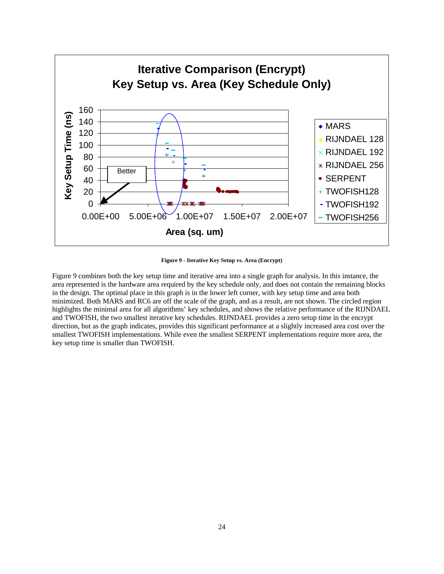![](_page_23_Figure_0.jpeg)

**Figure 9 - Iterative Key Setup vs. Area (Encrypt)**

Figure 9 combines both the key setup time and iterative area into a single graph for analysis. In this instance, the area represented is the hardware area required by the key schedule only, and does not contain the remaining blocks in the design. The optimal place in this graph is in the lower left corner, with key setup time and area both minimized. Both MARS and RC6 are off the scale of the graph, and as a result, are not shown. The circled region highlights the minimal area for all algorithms' key schedules, and shows the relative performance of the RIJNDAEL and TWOFISH, the two smallest iterative key schedules. RIJNDAEL provides a zero setup time in the encrypt direction, but as the graph indicates, provides this significant performance at a slightly increased area cost over the smallest TWOFISH implementations. While even the smallest SERPENT implementations require more area, the key setup time is smaller than TWOFISH.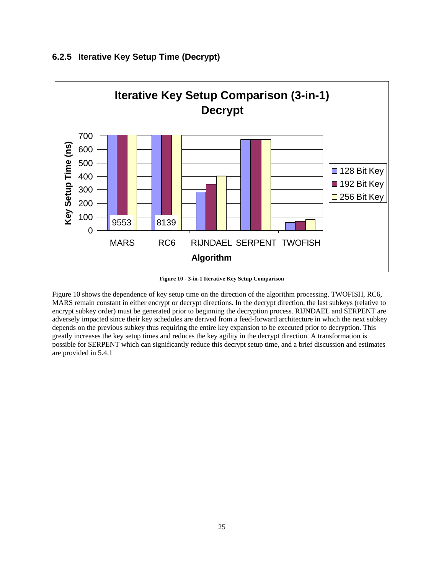![](_page_24_Figure_0.jpeg)

#### **6.2.5 Iterative Key Setup Time (Decrypt)**

**Figure 10 - 3-in-1 Iterative Key Setup Comparison**

Figure 10 shows the dependence of key setup time on the direction of the algorithm processing. TWOFISH, RC6, MARS remain constant in either encrypt or decrypt directions. In the decrypt direction, the last subkeys (relative to encrypt subkey order) must be generated prior to beginning the decryption process. RIJNDAEL and SERPENT are adversely impacted since their key schedules are derived from a feed-forward architecture in which the next subkey depends on the previous subkey thus requiring the entire key expansion to be executed prior to decryption. This greatly increases the key setup times and reduces the key agility in the decrypt direction. A transformation is possible for SERPENT which can significantly reduce this decrypt setup time, and a brief discussion and estimates are provided in 5.4.1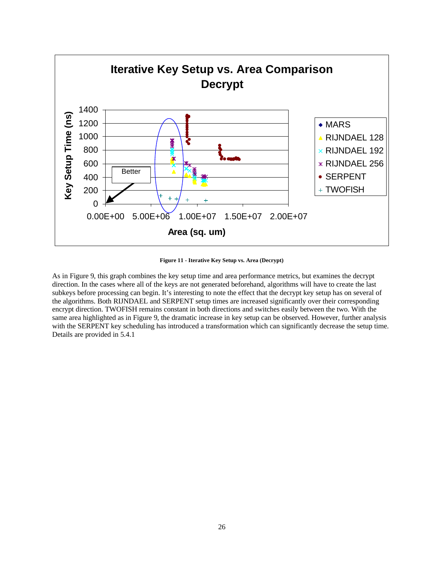![](_page_25_Figure_0.jpeg)

**Figure 11 - Iterative Key Setup vs. Area (Decrypt)**

As in Figure 9, this graph combines the key setup time and area performance metrics, but examines the decrypt direction. In the cases where all of the keys are not generated beforehand, algorithms will have to create the last subkeys before processing can begin. It's interesting to note the effect that the decrypt key setup has on several of the algorithms. Both RIJNDAEL and SERPENT setup times are increased significantly over their corresponding encrypt direction. TWOFISH remains constant in both directions and switches easily between the two. With the same area highlighted as in Figure 9, the dramatic increase in key setup can be observed. However, further analysis with the SERPENT key scheduling has introduced a transformation which can significantly decrease the setup time. Details are provided in 5.4.1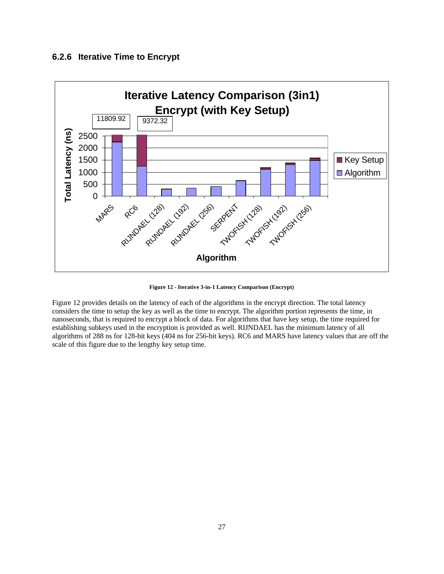#### **6.2.6 Iterative Time to Encrypt**

![](_page_26_Figure_1.jpeg)

**Figure 12 - Iterative 3-in-1 Latency Comparison (Encrypt)**

Figure 12 provides details on the latency of each of the algorithms in the encrypt direction. The total latency considers the time to setup the key as well as the time to encrypt. The algorithm portion represents the time, in nanoseconds, that is required to encrypt a block of data. For algorithms that have key setup, the time required for establishing subkeys used in the encryption is provided as well. RIJNDAEL has the minimum latency of all algorithms of 288 ns for 128-bit keys (404 ns for 256-bit keys). RC6 and MARS have latency values that are off the scale of this figure due to the lengthy key setup time.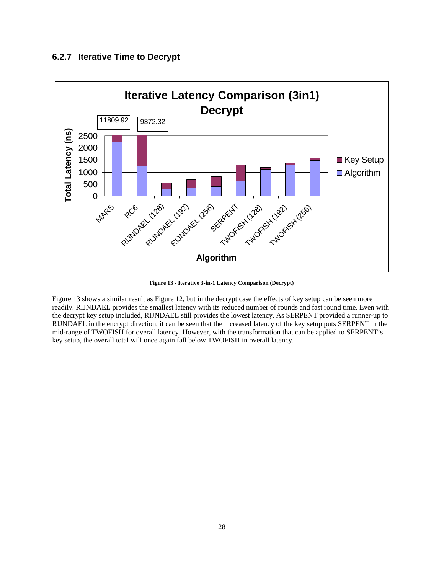#### **6.2.7 Iterative Time to Decrypt**

![](_page_27_Figure_1.jpeg)

**Figure 13 - Iterative 3-in-1 Latency Comparison (Decrypt)**

Figure 13 shows a similar result as Figure 12, but in the decrypt case the effects of key setup can be seen more readily. RIJNDAEL provides the smallest latency with its reduced number of rounds and fast round time. Even with the decrypt key setup included, RIJNDAEL still provides the lowest latency. As SERPENT provided a runner-up to RIJNDAEL in the encrypt direction, it can be seen that the increased latency of the key setup puts SERPENT in the mid-range of TWOFISH for overall latency. However, with the transformation that can be applied to SERPENT's key setup, the overall total will once again fall below TWOFISH in overall latency.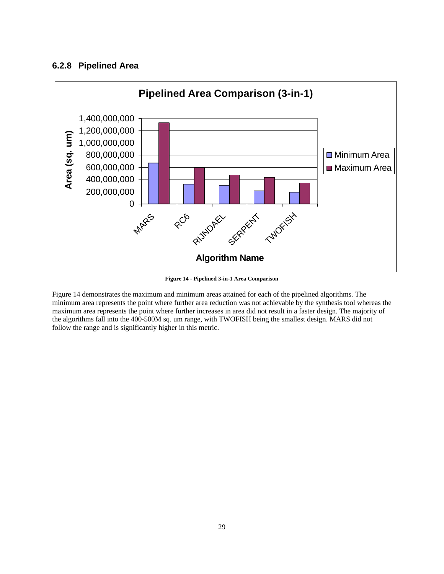### **6.2.8 Pipelined Area**

![](_page_28_Figure_1.jpeg)

**Figure 14 - Pipelined 3-in-1 Area Comparison**

Figure 14 demonstrates the maximum and minimum areas attained for each of the pipelined algorithms. The minimum area represents the point where further area reduction was not achievable by the synthesis tool whereas the maximum area represents the point where further increases in area did not result in a faster design. The majority of the algorithms fall into the 400-500M sq. um range, with TWOFISH being the smallest design. MARS did not follow the range and is significantly higher in this metric.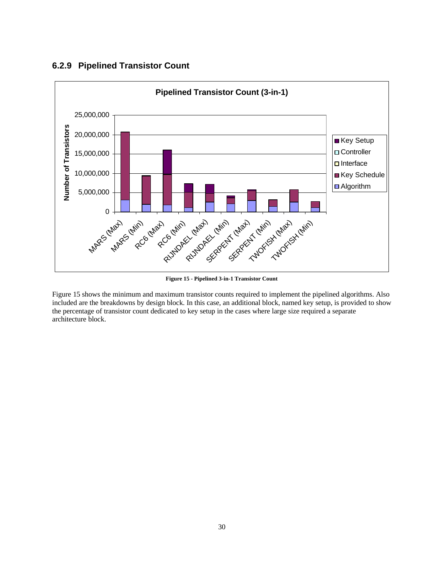#### **6.2.9 Pipelined Transistor Count**

![](_page_29_Figure_1.jpeg)

**Figure 15 - Pipelined 3-in-1 Transistor Count**

Figure 15 shows the minimum and maximum transistor counts required to implement the pipelined algorithms. Also included are the breakdowns by design block. In this case, an additional block, named key setup, is provided to show the percentage of transistor count dedicated to key setup in the cases where large size required a separate architecture block.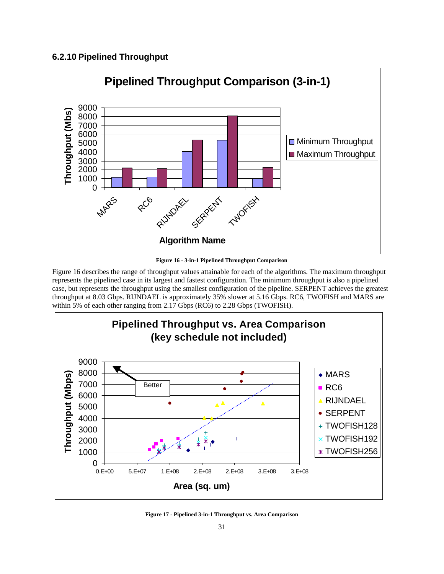## **6.2.10 Pipelined Throughput**

![](_page_30_Figure_1.jpeg)

**Figure 16 - 3-in-1 Pipelined Throughput Comparison**

Figure 16 describes the range of throughput values attainable for each of the algorithms. The maximum throughput represents the pipelined case in its largest and fastest configuration. The minimum throughput is also a pipelined case, but represents the throughput using the smallest configuration of the pipeline. SERPENT achieves the greatest throughput at 8.03 Gbps. RIJNDAEL is approximately 35% slower at 5.16 Gbps. RC6, TWOFISH and MARS are within 5% of each other ranging from 2.17 Gbps (RC6) to 2.28 Gbps (TWOFISH).

![](_page_30_Figure_4.jpeg)

**Figure 17 - Pipelined 3-in-1 Throughput vs. Area Comparison**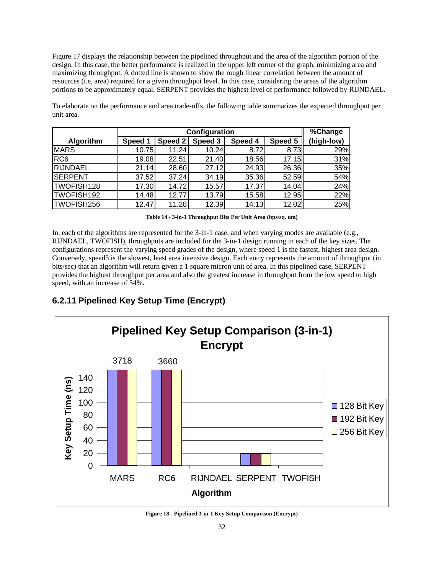Figure 17 displays the relationship between the pipelined throughput and the area of the algorithm portion of the design. In this case, the better performance is realized in the upper left corner of the graph, minimizing area and maximizing throughput. A dotted line is shown to show the rough linear correlation between the amount of resources (i.e, area) required for a given throughput level. In this case, considering the areas of the algorithm portions to be approximately equal, SERPENT provides the highest level of performance followed by RIJNDAEL.

|                 | Configuration |         |         |         |         | $\sqrt[3]{6}$ Change |
|-----------------|---------------|---------|---------|---------|---------|----------------------|
| Algorithm       | Speed 1       | Speed 2 | Speed 3 | Speed 4 | Speed 5 | (high-low)           |
| <b>MARS</b>     | 10.75         | 11.24   | 10.24   | 8.72    | 8.73    | 29%                  |
| RC <sub>6</sub> | 19.08         | 22.51   | 21.40   | 18.56   | 17.15   | 31%                  |
| <b>RIJNDAEL</b> | 21.14         | 28.60   | 27.12   | 24.93   | 26.36   | 35%                  |
| <b>SERPENT</b>  | 37.52         | 37.24   | 34.19   | 35.36   | 52.59   | 54%                  |
| TWOFISH128      | 17.30         | 14.72   | 15.57   | 17.37   | 14.04   | 24%                  |
| TWOFISH192      | 14.48         | 12.77   | 13.79   | 15.58   | 12.95   | 22%                  |
| TWOFISH256      | 12.47         | 11.28   | 12.39   | 14.13   | 12.02   | 25%                  |

To elaborate on the performance and area trade-offs, the following table summarizes the expected throughput per unit area.

**Table 14 - 3-in-1 Throughput Bits Per Unit Area (bps/sq. um)**

In, each of the algorithms are represented for the 3-in-1 case, and when varying modes are available (e.g., RIJNDAEL, TWOFISH), throughputs are included for the 3-in-1 design running in each of the key sizes. The configurations represent the varying speed grades of the design, where speed 1 is the fastest, highest area design. Conversely, speed5 is the slowest, least area intensive design. Each entry represents the amount of throughput (in bits/sec) that an algorithm will return given a 1 square micron unit of area. In this pipelined case, SERPENT provides the highest throughput per area and also the greatest increase in throughput from the low speed to high speed, with an increase of 54%.

## **6.2.11 Pipelined Key Setup Time (Encrypt)**

![](_page_31_Figure_6.jpeg)

**Figure 18 - Pipelined 3-in-1 Key Setup Comparison (Encrypt)**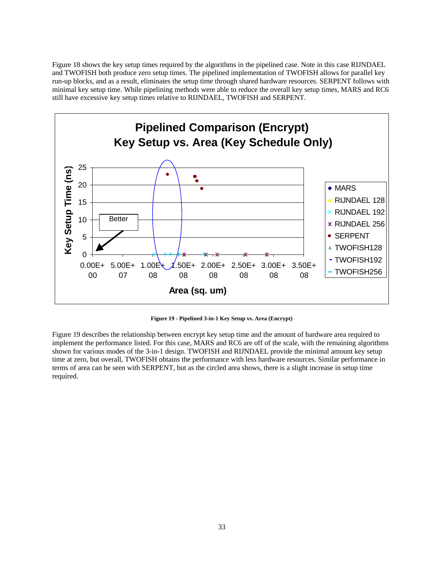Figure 18 shows the key setup times required by the algorithms in the pipelined case. Note in this case RIJNDAEL and TWOFISH both produce zero setup times. The pipelined implementation of TWOFISH allows for parallel key run-up blocks, and as a result, eliminates the setup time through shared hardware resources. SERPENT follows with minimal key setup time. While pipelining methods were able to reduce the overall key setup times, MARS and RC6 still have excessive key setup times relative to RIJNDAEL, TWOFISH and SERPENT.

![](_page_32_Figure_1.jpeg)

**Figure 19 - Pipelined 3-in-1 Key Setup vs. Area (Encrypt)**

Figure 19 describes the relationship between encrypt key setup time and the amount of hardware area required to implement the performance listed. For this case, MARS and RC6 are off of the scale, with the remaining algorithms shown for various modes of the 3-in-1 design. TWOFISH and RIJNDAEL provide the minimal amount key setup time at zero, but overall, TWOFISH obtains the performance with less hardware resources. Similar performance in terms of area can be seen with SERPENT, but as the circled area shows, there is a slight increase in setup time required.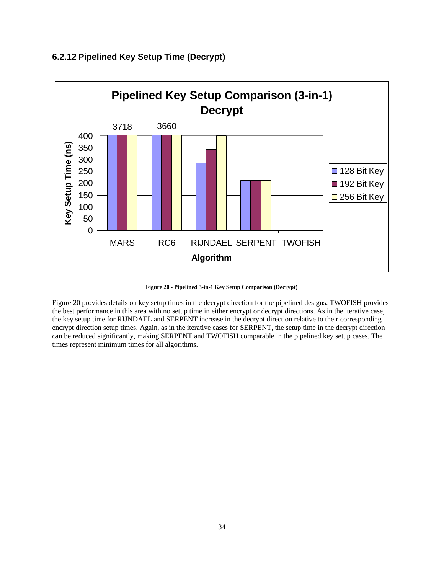![](_page_33_Figure_0.jpeg)

## **6.2.12 Pipelined Key Setup Time (Decrypt)**

**Figure 20 - Pipelined 3-in-1 Key Setup Comparison (Decrypt)**

Figure 20 provides details on key setup times in the decrypt direction for the pipelined designs. TWOFISH provides the best performance in this area with no setup time in either encrypt or decrypt directions. As in the iterative case, the key setup time for RIJNDAEL and SERPENT increase in the decrypt direction relative to their corresponding encrypt direction setup times. Again, as in the iterative cases for SERPENT, the setup time in the decrypt direction can be reduced significantly, making SERPENT and TWOFISH comparable in the pipelined key setup cases. The times represent minimum times for all algorithms.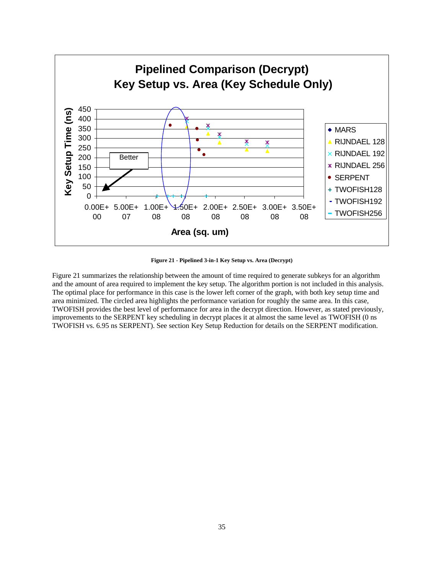![](_page_34_Figure_0.jpeg)

**Figure 21 - Pipelined 3-in-1 Key Setup vs. Area (Decrypt)**

Figure 21 summarizes the relationship between the amount of time required to generate subkeys for an algorithm and the amount of area required to implement the key setup. The algorithm portion is not included in this analysis. The optimal place for performance in this case is the lower left corner of the graph, with both key setup time and area minimized. The circled area highlights the performance variation for roughly the same area. In this case, TWOFISH provides the best level of performance for area in the decrypt direction. However, as stated previously, improvements to the SERPENT key scheduling in decrypt places it at almost the same level as TWOFISH (0 ns TWOFISH vs. 6.95 ns SERPENT). See section Key Setup Reduction for details on the SERPENT modification.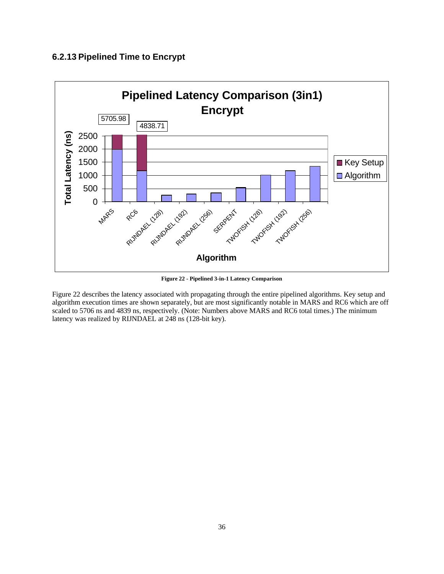## **6.2.13 Pipelined Time to Encrypt**

![](_page_35_Figure_1.jpeg)

**Figure 22 - Pipelined 3-in-1 Latency Comparison**

Figure 22 describes the latency associated with propagating through the entire pipelined algorithms. Key setup and algorithm execution times are shown separately, but are most significantly notable in MARS and RC6 which are off scaled to 5706 ns and 4839 ns, respectively. (Note: Numbers above MARS and RC6 total times.) The minimum latency was realized by RIJNDAEL at 248 ns (128-bit key).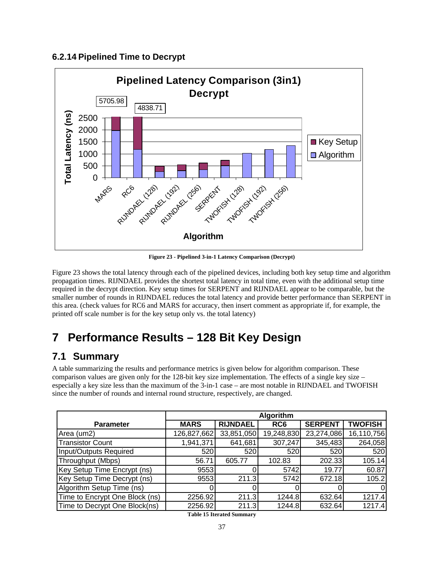### **6.2.14 Pipelined Time to Decrypt**

![](_page_36_Figure_1.jpeg)

**Figure 23 - Pipelined 3-in-1 Latency Comparison (Decrypt)**

Figure 23 shows the total latency through each of the pipelined devices, including both key setup time and algorithm propagation times. RIJNDAEL provides the shortest total latency in total time, even with the additional setup time required in the decrypt direction. Key setup times for SERPENT and RIJNDAEL appear to be comparable, but the smaller number of rounds in RIJNDAEL reduces the total latency and provide better performance than SERPENT in this area. (check values for RC6 and MARS for accuracy, then insert comment as appropriate if, for example, the printed off scale number is for the key setup only vs. the total latency)

# **7 Performance Results – 128 Bit Key Design**

## **7.1 Summary**

A table summarizing the results and performance metrics is given below for algorithm comparison. These comparison values are given only for the 128-bit key size implementation. The effects of a single key size – especially a key size less than the maximum of the 3-in-1 case – are most notable in RIJNDAEL and TWOFISH since the number of rounds and internal round structure, respectively, are changed.

|                                | Algorithm   |                 |                 |                |                |  |
|--------------------------------|-------------|-----------------|-----------------|----------------|----------------|--|
| <b>Parameter</b>               | <b>MARS</b> | <b>RIJNDAEL</b> | RC <sub>6</sub> | <b>SERPENT</b> | <b>TWOFISH</b> |  |
| Area (um2)                     | 126,827,662 | 33,851,050      | 19,248,830      | 23,274,086     | 16,110,756     |  |
| <b>Transistor Count</b>        | 1,941,371   | 641,681         | 307,247         | 345,483        | 264,058        |  |
| Input/Outputs Required         | 520         | 520             | 520             | 520            | 520            |  |
| Throughput (Mbps)              | 56.71       | 605.77          | 102.83          | 202.33         | 105.14         |  |
| Key Setup Time Encrypt (ns)    | 9553        |                 | 5742            | 19.77          | 60.87          |  |
| Key Setup Time Decrypt (ns)    | 9553        | 211.3           | 5742            | 672.18         | 105.2          |  |
| Algorithm Setup Time (ns)      |             |                 |                 |                | 0              |  |
| Time to Encrypt One Block (ns) | 2256.92     | 211.3           | 1244.8          | 632.64         | 1217.4         |  |
| Time to Decrypt One Block(ns)  | 2256.92     | 211.3           | 1244.8          | 632.64         | 1217.4         |  |

**Table 15 Iterated Summary**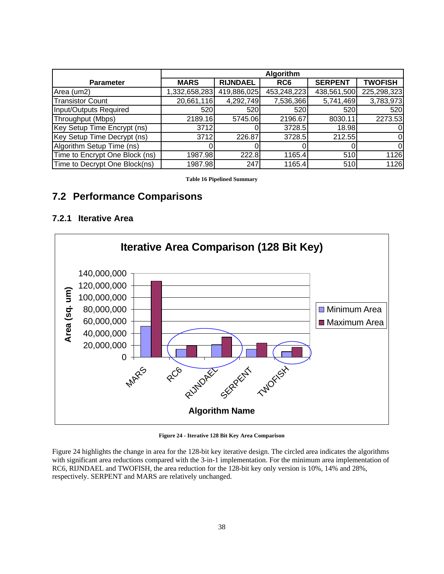|                                | Algorithm     |                 |                 |                |                |
|--------------------------------|---------------|-----------------|-----------------|----------------|----------------|
| <b>Parameter</b>               | <b>MARS</b>   | <b>RIJNDAEL</b> | RC <sub>6</sub> | <b>SERPENT</b> | <b>TWOFISH</b> |
| Area (um2)                     | 1,332,658,283 | 419,886,025     | 453,248,223     | 438,561,500    | 225,298,323    |
| <b>Transistor Count</b>        | 20,661,116    | 4,292,749       | 7,536,366       | 5,741,469      | 3,783,973      |
| Input/Outputs Required         | 520           | 520             | 520             | 520            | 520            |
| Throughput (Mbps)              | 2189.16       | 5745.06         | 2196.67         | 8030.11        | 2273.53        |
| Key Setup Time Encrypt (ns)    | 3712          |                 | 3728.5          | 18.98          | 01             |
| Key Setup Time Decrypt (ns)    | 3712          | 226.87          | 3728.5          | 212.55         | 0l             |
| Algorithm Setup Time (ns)      |               |                 |                 |                | $\Omega$       |
| Time to Encrypt One Block (ns) | 1987.98       | 222.8           | 1165.4          | 510            | 1126           |
| Time to Decrypt One Block(ns)  | 1987.98       | 247             | 1165.4          | 510            | 1126           |

**Table 16 Pipelined Summary**

## **7.2 Performance Comparisons**

### **7.2.1 Iterative Area**

![](_page_37_Figure_4.jpeg)

**Figure 24 - Iterative 128 Bit Key Area Comparison**

Figure 24 highlights the change in area for the 128-bit key iterative design. The circled area indicates the algorithms with significant area reductions compared with the 3-in-1 implementation. For the minimum area implementation of RC6, RIJNDAEL and TWOFISH, the area reduction for the 128-bit key only version is 10%, 14% and 28%, respectively. SERPENT and MARS are relatively unchanged.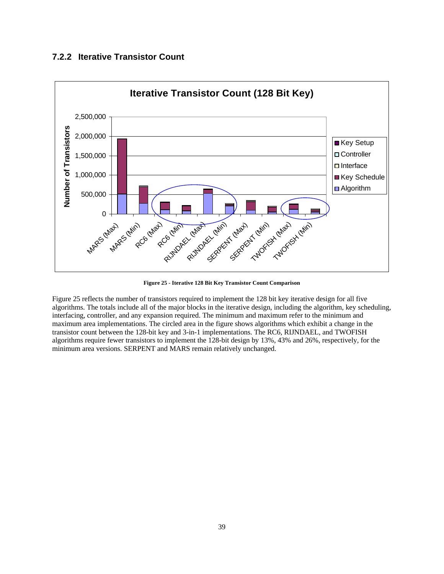### **7.2.2 Iterative Transistor Count**

![](_page_38_Figure_1.jpeg)

**Figure 25 - Iterative 128 Bit Key Transistor Count Comparison**

Figure 25 reflects the number of transistors required to implement the 128 bit key iterative design for all five algorithms. The totals include all of the major blocks in the iterative design, including the algorithm, key scheduling, interfacing, controller, and any expansion required. The minimum and maximum refer to the minimum and maximum area implementations. The circled area in the figure shows algorithms which exhibit a change in the transistor count between the 128-bit key and 3-in-1 implementations. The RC6, RIJNDAEL, and TWOFISH algorithms require fewer transistors to implement the 128-bit design by 13%, 43% and 26%, respectively, for the minimum area versions. SERPENT and MARS remain relatively unchanged.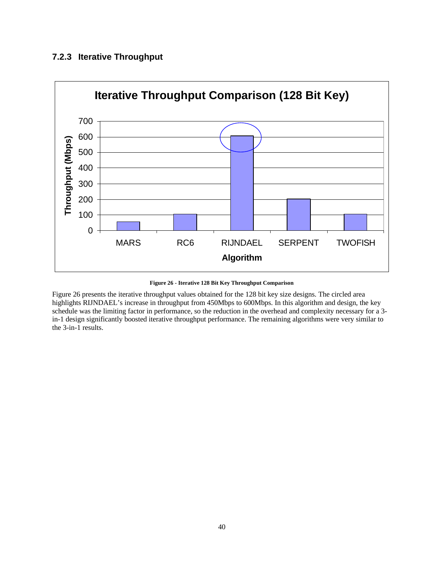## **7.2.3 Iterative Throughput**

![](_page_39_Figure_1.jpeg)

**Figure 26 - Iterative 128 Bit Key Throughput Comparison**

Figure 26 presents the iterative throughput values obtained for the 128 bit key size designs. The circled area highlights RIJNDAEL's increase in throughput from 450Mbps to 600Mbps. In this algorithm and design, the key schedule was the limiting factor in performance, so the reduction in the overhead and complexity necessary for a 3 in-1 design significantly boosted iterative throughput performance. The remaining algorithms were very similar to the 3-in-1 results.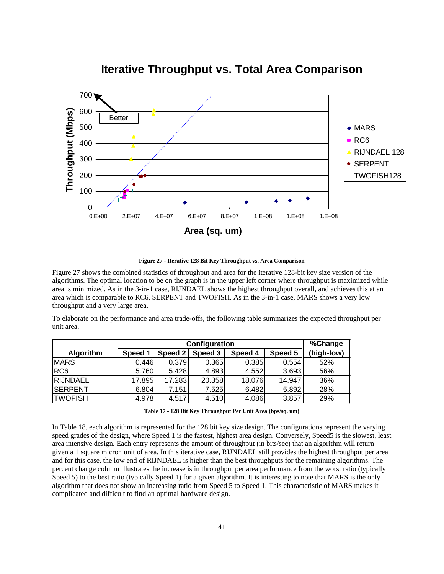![](_page_40_Figure_0.jpeg)

**Figure 27 - Iterative 128 Bit Key Throughput vs. Area Comparison**

Figure 27 shows the combined statistics of throughput and area for the iterative 128-bit key size version of the algorithms. The optimal location to be on the graph is in the upper left corner where throughput is maximized while area is minimized. As in the 3-in-1 case, RIJNDAEL shows the highest throughput overall, and achieves this at an area which is comparable to RC6, SERPENT and TWOFISH. As in the 3-in-1 case, MARS shows a very low throughput and a very large area.

To elaborate on the performance and area trade-offs, the following table summarizes the expected throughput per unit area.

|                  | Configuration |         |         |         |         | %Change    |
|------------------|---------------|---------|---------|---------|---------|------------|
| <b>Algorithm</b> | Speed 1       | Speed 2 | Speed 3 | Speed 4 | Speed 5 | (high-low) |
| <b>MARS</b>      | 0.446         | 0.379   | 0.365   | 0.385   | 0.554   | 52%        |
| RC <sub>6</sub>  | 5.760         | 5.428   | 4.893   | 4.552   | 3.693   | 56%        |
| RIJNDAEL         | 17.895        | 17.283  | 20.358  | 18.076  | 14.947  | 36%        |
| <b>ISERPENT</b>  | 6.804         | 7.151   | 7.525   | 6.482   | 5.892   | 28%        |
| <b>TWOFISH</b>   | 4.978         | 4.517   | 4.510   | 4.086   | 3.857   | 29%        |

In Table 18, each algorithm is represented for the 128 bit key size design. The configurations represent the varying speed grades of the design, where Speed 1 is the fastest, highest area design. Conversely, Speed5 is the slowest, least area intensive design. Each entry represents the amount of throughput (in bits/sec) that an algorithm will return given a 1 square micron unit of area. In this iterative case, RIJNDAEL still provides the highest throughput per area and for this case, the low end of RIJNDAEL is higher than the best throughputs for the remaining algorithms. The percent change column illustrates the increase is in throughput per area performance from the worst ratio (typically Speed 5) to the best ratio (typically Speed 1) for a given algorithm. It is interesting to note that MARS is the only algorithm that does not show an increasing ratio from Speed 5 to Speed 1. This characteristic of MARS makes it complicated and difficult to find an optimal hardware design.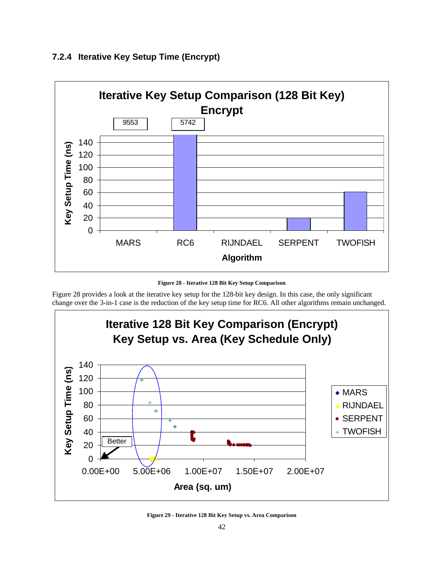![](_page_41_Figure_0.jpeg)

### **7.2.4 Iterative Key Setup Time (Encrypt)**

**Figure 28 - Iterative 128 Bit Key Setup Comparison**

Figure 28 provides a look at the iterative key setup for the 128-bit key design. In this case, the only significant change over the 3-in-1 case is the reduction of the key setup time for RC6. All other algorithms remain unchanged.

![](_page_41_Figure_4.jpeg)

**Figure 29 - Iterative 128 Bit Key Setup vs. Area Comparison**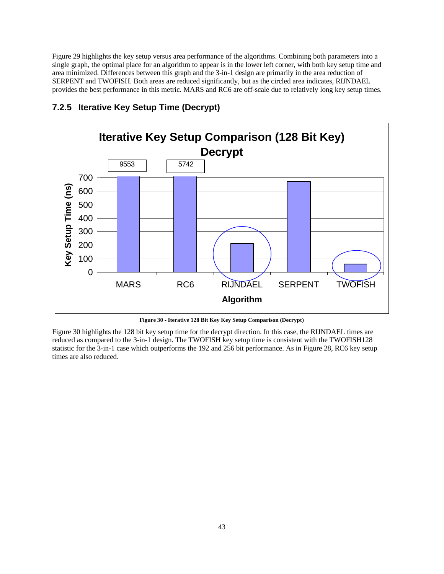Figure 29 highlights the key setup versus area performance of the algorithms. Combining both parameters into a single graph, the optimal place for an algorithm to appear is in the lower left corner, with both key setup time and area minimized. Differences between this graph and the 3-in-1 design are primarily in the area reduction of SERPENT and TWOFISH. Both areas are reduced significantly, but as the circled area indicates, RIJNDAEL provides the best performance in this metric. MARS and RC6 are off-scale due to relatively long key setup times.

![](_page_42_Figure_1.jpeg)

## **7.2.5 Iterative Key Setup Time (Decrypt)**

**Figure 30 - Iterative 128 Bit Key Key Setup Comparison (Decrypt)**

Figure 30 highlights the 128 bit key setup time for the decrypt direction. In this case, the RIJNDAEL times are reduced as compared to the 3-in-1 design. The TWOFISH key setup time is consistent with the TWOFISH128 statistic for the 3-in-1 case which outperforms the 192 and 256 bit performance. As in Figure 28, RC6 key setup times are also reduced.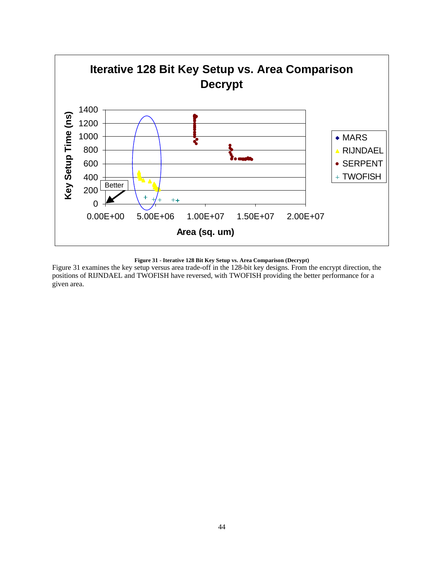![](_page_43_Figure_0.jpeg)

**Figure 31 - Iterative 128 Bit Key Setup vs. Area Comparison (Decrypt)**

Figure 31 examines the key setup versus area trade-off in the 128-bit key designs. From the encrypt direction, the positions of RIJNDAEL and TWOFISH have reversed, with TWOFISH providing the better performance for a given area.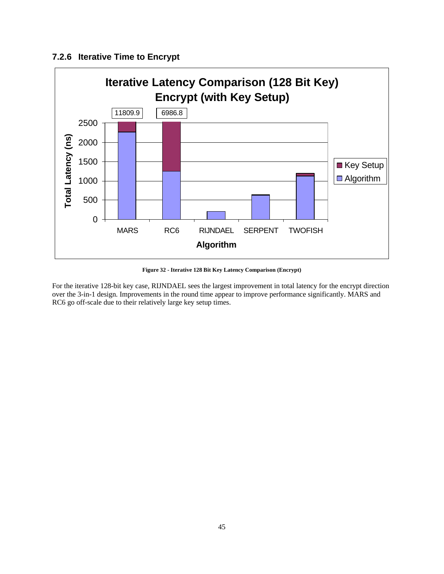## **7.2.6 Iterative Time to Encrypt**

![](_page_44_Figure_1.jpeg)

**Figure 32 - Iterative 128 Bit Key Latency Comparison (Encrypt)**

For the iterative 128-bit key case, RIJNDAEL sees the largest improvement in total latency for the encrypt direction over the 3-in-1 design. Improvements in the round time appear to improve performance significantly. MARS and RC6 go off-scale due to their relatively large key setup times.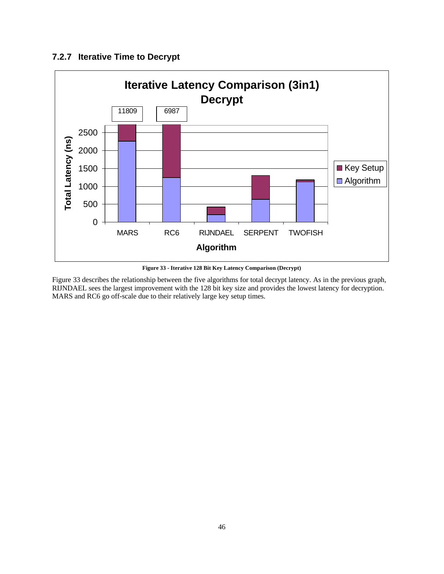## **7.2.7 Iterative Time to Decrypt**

![](_page_45_Figure_1.jpeg)

**Figure 33 - Iterative 128 Bit Key Latency Comparison (Decrypt)**

Figure 33 describes the relationship between the five algorithms for total decrypt latency. As in the previous graph, RIJNDAEL sees the largest improvement with the 128 bit key size and provides the lowest latency for decryption. MARS and RC6 go off-scale due to their relatively large key setup times.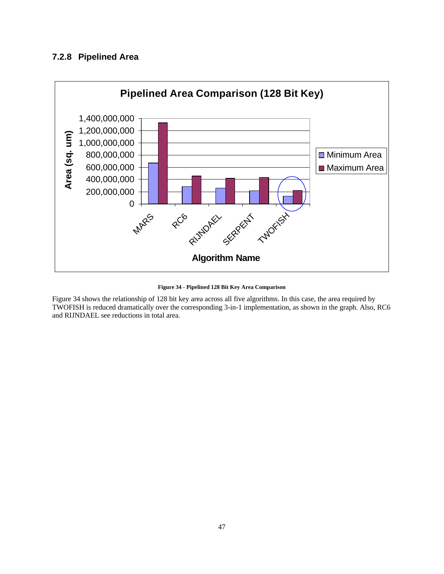## **7.2.8 Pipelined Area**

![](_page_46_Figure_1.jpeg)

**Figure 34 - Pipelined 128 Bit Key Area Comparison**

Figure 34 shows the relationship of 128 bit key area across all five algorithms. In this case, the area required by TWOFISH is reduced dramatically over the corresponding 3-in-1 implementation, as shown in the graph. Also, RC6 and RIJNDAEL see reductions in total area.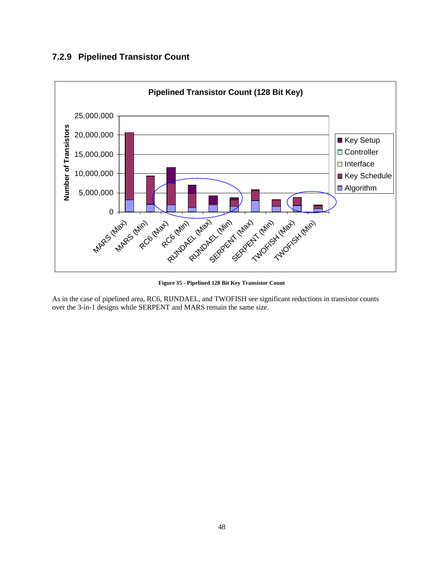## **7.2.9 Pipelined Transistor Count**

![](_page_47_Figure_1.jpeg)

**Figure 35 - Pipelined 128 Bit Key Transistor Count**

As in the case of pipelined area, RC6, RIJNDAEL, and TWOFISH see significant reductions in transistor counts over the 3-in-1 designs while SERPENT and MARS remain the same size.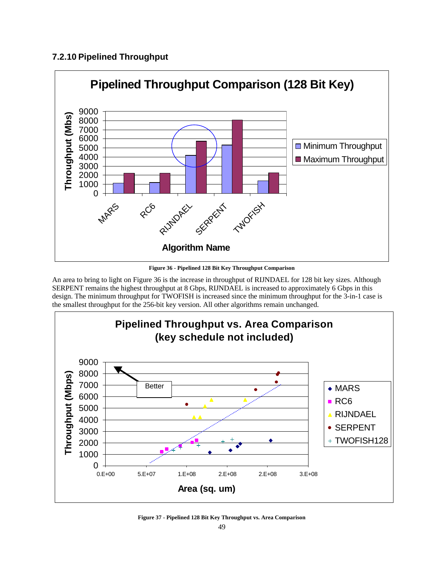## **7.2.10 Pipelined Throughput**

![](_page_48_Figure_1.jpeg)

**Figure 36 - Pipelined 128 Bit Key Throughput Comparison**

An area to bring to light on Figure 36 is the increase in throughput of RIJNDAEL for 128 bit key sizes. Although SERPENT remains the highest throughput at 8 Gbps, RIJNDAEL is increased to approximately 6 Gbps in this design. The minimum throughput for TWOFISH is increased since the minimum throughput for the 3-in-1 case is the smallest throughput for the 256-bit key version. All other algorithms remain unchanged.

![](_page_48_Figure_4.jpeg)

**Figure 37 - Pipelined 128 Bit Key Throughput vs. Area Comparison**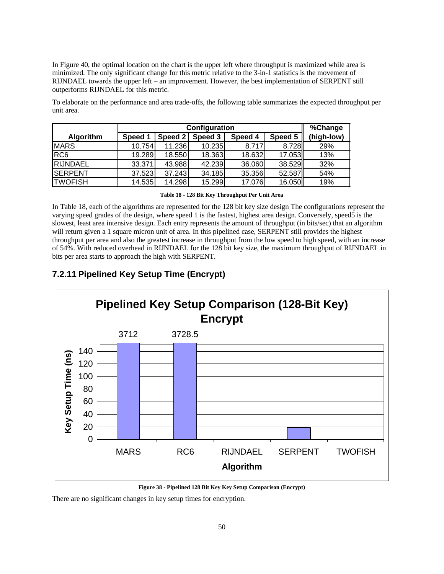In Figure 40, the optimal location on the chart is the upper left where throughput is maximized while area is minimized. The only significant change for this metric relative to the 3-in-1 statistics is the movement of RIJNDAEL towards the upper left – an improvement. However, the best implementation of SERPENT still outperforms RIJNDAEL for this metric.

To elaborate on the performance and area trade-offs, the following table summarizes the expected throughput per unit area.

|                  | Configuration |         |         |         |         | %Change    |
|------------------|---------------|---------|---------|---------|---------|------------|
| <b>Algorithm</b> | Speed 1       | Speed 2 | Speed 3 | Speed 4 | Speed 5 | (high-low) |
| <b>MARS</b>      | 10.754        | 11.236  | 10.235  | 8.717   | 8.728   | 29%        |
| RC <sub>6</sub>  | 19.289        | 18.550  | 18.363  | 18.632  | 17.053  | 13%        |
| <b>RIJNDAEL</b>  | 33.371        | 43.988  | 42.239  | 36.060  | 38.529  | 32%        |
| <b>ISERPENT</b>  | 37.523        | 37.243  | 34.185  | 35.356  | 52.587  | 54%        |
| <b>TWOFISH</b>   | 14.535        | 14.298  | 15.299  | 17.076  | 16.050  | 19%        |

**Table 18 - 128 Bit Key Throughput Per Unit Area**

In Table 18, each of the algorithms are represented for the 128 bit key size design The configurations represent the varying speed grades of the design, where speed 1 is the fastest, highest area design. Conversely, speed5 is the slowest, least area intensive design. Each entry represents the amount of throughput (in bits/sec) that an algorithm will return given a 1 square micron unit of area. In this pipelined case, SERPENT still provides the highest throughput per area and also the greatest increase in throughput from the low speed to high speed, with an increase of 54%. With reduced overhead in RIJNDAEL for the 128 bit key size, the maximum throughput of RIJNDAEL in bits per area starts to approach the high with SERPENT.

## **7.2.11 Pipelined Key Setup Time (Encrypt)**

![](_page_49_Figure_6.jpeg)

**Figure 38 - Pipelined 128 Bit Key Key Setup Comparison (Encrypt)**

There are no significant changes in key setup times for encryption.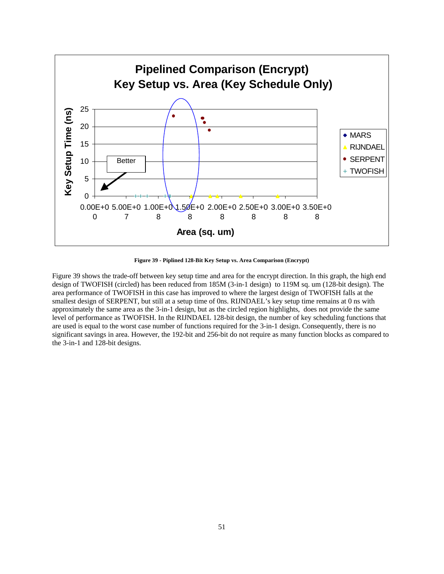![](_page_50_Figure_0.jpeg)

**Figure 39 - Piplined 128-Bit Key Setup vs. Area Comparison (Encrypt)**

Figure 39 shows the trade-off between key setup time and area for the encrypt direction. In this graph, the high end design of TWOFISH (circled) has been reduced from 185M (3-in-1 design) to 119M sq. um (128-bit design). The area performance of TWOFISH in this case has improved to where the largest design of TWOFISH falls at the smallest design of SERPENT, but still at a setup time of 0ns. RIJNDAEL's key setup time remains at 0 ns with approximately the same area as the 3-in-1 design, but as the circled region highlights, does not provide the same level of performance as TWOFISH. In the RIJNDAEL 128-bit design, the number of key scheduling functions that are used is equal to the worst case number of functions required for the 3-in-1 design. Consequently, there is no significant savings in area. However, the 192-bit and 256-bit do not require as many function blocks as compared to the 3-in-1 and 128-bit designs.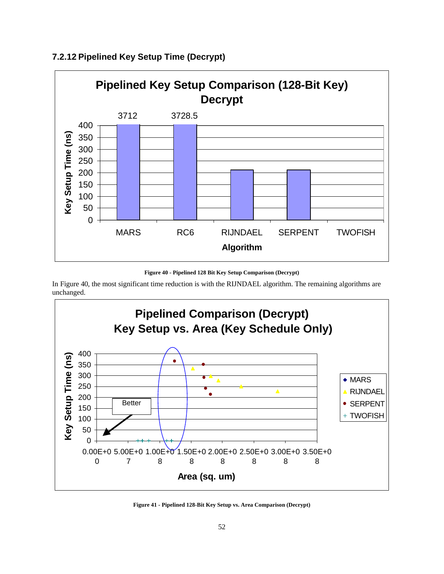![](_page_51_Figure_0.jpeg)

## **7.2.12 Pipelined Key Setup Time (Decrypt)**

**Figure 40 - Pipelined 128 Bit Key Setup Comparison (Decrypt)**

In Figure 40, the most significant time reduction is with the RIJNDAEL algorithm. The remaining algorithms are unchanged.

![](_page_51_Figure_4.jpeg)

**Figure 41 - Pipelined 128-Bit Key Setup vs. Area Comparison (Decrypt)**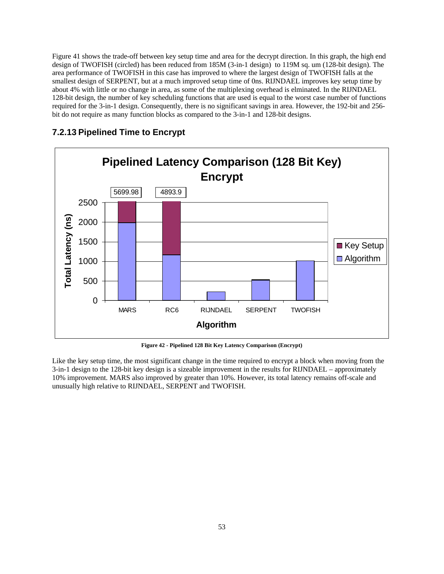Figure 41 shows the trade-off between key setup time and area for the decrypt direction. In this graph, the high end design of TWOFISH (circled) has been reduced from 185M (3-in-1 design) to 119M sq. um (128-bit design). The area performance of TWOFISH in this case has improved to where the largest design of TWOFISH falls at the smallest design of SERPENT, but at a much improved setup time of 0ns. RIJNDAEL improves key setup time by about 4% with little or no change in area, as some of the multiplexing overhead is elminated. In the RIJNDAEL 128-bit design, the number of key scheduling functions that are used is equal to the worst case number of functions required for the 3-in-1 design. Consequently, there is no significant savings in area. However, the 192-bit and 256 bit do not require as many function blocks as compared to the 3-in-1 and 128-bit designs.

![](_page_52_Figure_1.jpeg)

### **7.2.13 Pipelined Time to Encrypt**

**Figure 42 - Pipelined 128 Bit Key Latency Comparison (Encrypt)**

Like the key setup time, the most significant change in the time required to encrypt a block when moving from the 3-in-1 design to the 128-bit key design is a sizeable improvement in the results for RIJNDAEL – approximately 10% improvement. MARS also improved by greater than 10%. However, its total latency remains off-scale and unusually high relative to RIJNDAEL, SERPENT and TWOFISH.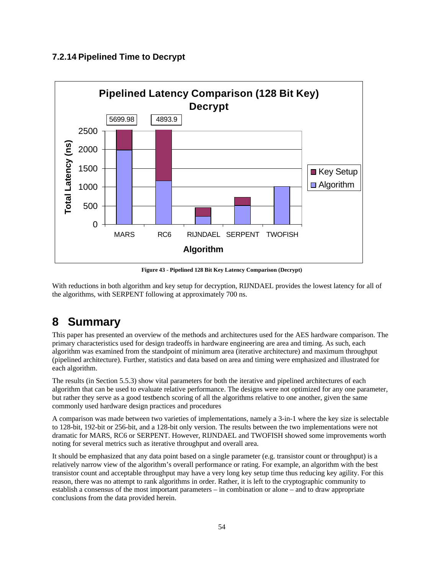## **7.2.14 Pipelined Time to Decrypt**

![](_page_53_Figure_1.jpeg)

**Figure 43 - Pipelined 128 Bit Key Latency Comparison (Decrypt)**

With reductions in both algorithm and key setup for decryption, RIJNDAEL provides the lowest latency for all of the algorithms, with SERPENT following at approximately 700 ns.

# **8 Summary**

This paper has presented an overview of the methods and architectures used for the AES hardware comparison. The primary characteristics used for design tradeoffs in hardware engineering are area and timing. As such, each algorithm was examined from the standpoint of minimum area (iterative architecture) and maximum throughput (pipelined architecture). Further, statistics and data based on area and timing were emphasized and illustrated for each algorithm.

The results (in Section 5.5.3) show vital parameters for both the iterative and pipelined architectures of each algorithm that can be used to evaluate relative performance. The designs were not optimized for any one parameter, but rather they serve as a good testbench scoring of all the algorithms relative to one another, given the same commonly used hardware design practices and procedures

A comparison was made between two varieties of implementations, namely a 3-in-1 where the key size is selectable to 128-bit, 192-bit or 256-bit, and a 128-bit only version. The results between the two implementations were not dramatic for MARS, RC6 or SERPENT. However, RIJNDAEL and TWOFISH showed some improvements worth noting for several metrics such as iterative throughput and overall area.

It should be emphasized that any data point based on a single parameter (e.g. transistor count or throughput) is a relatively narrow view of the algorithm's overall performance or rating. For example, an algorithm with the best transistor count and acceptable throughput may have a very long key setup time thus reducing key agility. For this reason, there was no attempt to rank algorithms in order. Rather, it is left to the cryptographic community to establish a consensus of the most important parameters – in combination or alone – and to draw appropriate conclusions from the data provided herein.